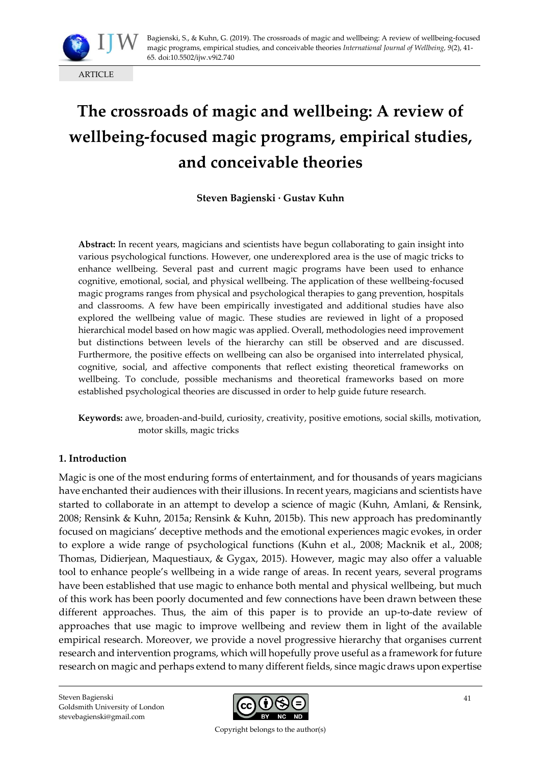

# **The crossroads of magic and wellbeing: A review of wellbeing-focused magic programs, empirical studies, and conceivable theories**

## **Steven Bagienski · Gustav Kuhn**

**Abstract:** In recent years, magicians and scientists have begun collaborating to gain insight into various psychological functions. However, one underexplored area is the use of magic tricks to enhance wellbeing. Several past and current magic programs have been used to enhance cognitive, emotional, social, and physical wellbeing. The application of these wellbeing-focused magic programs ranges from physical and psychological therapies to gang prevention, hospitals and classrooms. A few have been empirically investigated and additional studies have also explored the wellbeing value of magic. These studies are reviewed in light of a proposed hierarchical model based on how magic was applied. Overall, methodologies need improvement but distinctions between levels of the hierarchy can still be observed and are discussed. Furthermore, the positive effects on wellbeing can also be organised into interrelated physical, cognitive, social, and affective components that reflect existing theoretical frameworks on wellbeing. To conclude, possible mechanisms and theoretical frameworks based on more established psychological theories are discussed in order to help guide future research.

**Keywords:** awe, broaden-and-build, curiosity, creativity, positive emotions, social skills, motivation, motor skills, magic tricks

#### **1. Introduction**

Magic is one of the most enduring forms of entertainment, and for thousands of years magicians have enchanted their audiences with their illusions. In recent years, magicians and scientists have started to collaborate in an attempt to develop a science of magic (Kuhn, Amlani, & Rensink, 2008; Rensink & Kuhn, 2015a; Rensink & Kuhn, 2015b). This new approach has predominantly focused on magicians' deceptive methods and the emotional experiences magic evokes, in order to explore a wide range of psychological functions (Kuhn et al., 2008; Macknik et al., 2008; Thomas, Didierjean, Maquestiaux, & Gygax, 2015). However, magic may also offer a valuable tool to enhance people's wellbeing in a wide range of areas. In recent years, several programs have been established that use magic to enhance both mental and physical wellbeing, but much of this work has been poorly documented and few connections have been drawn between these different approaches. Thus, the aim of this paper is to provide an up-to-date review of approaches that use magic to improve wellbeing and review them in light of the available empirical research. Moreover, we provide a novel progressive hierarchy that organises current research and intervention programs, which will hopefully prove useful as a framework for future research on magic and perhaps extend to many different fields, since magic draws upon expertise

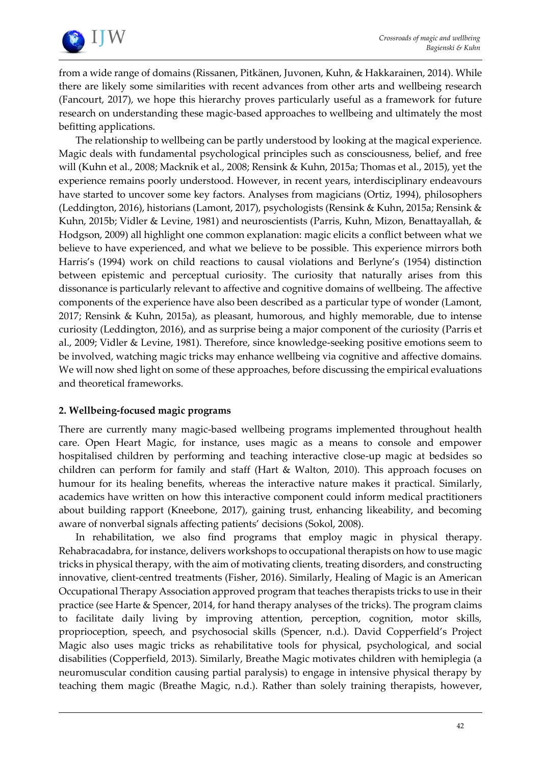

from a wide range of domains (Rissanen, Pitkänen, Juvonen, Kuhn, & Hakkarainen, 2014). While there are likely some similarities with recent advances from other arts and wellbeing research (Fancourt, 2017), we hope this hierarchy proves particularly useful as a framework for future research on understanding these magic-based approaches to wellbeing and ultimately the most befitting applications.

The relationship to wellbeing can be partly understood by looking at the magical experience. Magic deals with fundamental psychological principles such as consciousness, belief, and free will (Kuhn et al., 2008; Macknik et al., 2008; Rensink & Kuhn, 2015a; Thomas et al., 2015), yet the experience remains poorly understood. However, in recent years, interdisciplinary endeavours have started to uncover some key factors. Analyses from magicians (Ortiz, 1994), philosophers (Leddington, 2016), historians (Lamont, 2017), psychologists (Rensink & Kuhn, 2015a; Rensink & Kuhn, 2015b; Vidler & Levine, 1981) and neuroscientists (Parris, Kuhn, Mizon, Benattayallah, & Hodgson, 2009) all highlight one common explanation: magic elicits a conflict between what we believe to have experienced, and what we believe to be possible. This experience mirrors both Harris's (1994) work on child reactions to causal violations and Berlyne's (1954) distinction between epistemic and perceptual curiosity. The curiosity that naturally arises from this dissonance is particularly relevant to affective and cognitive domains of wellbeing. The affective components of the experience have also been described as a particular type of wonder (Lamont, 2017; Rensink & Kuhn, 2015a), as pleasant, humorous, and highly memorable, due to intense curiosity (Leddington, 2016), and as surprise being a major component of the curiosity (Parris et al., 2009; Vidler & Levine, 1981). Therefore, since knowledge-seeking positive emotions seem to be involved, watching magic tricks may enhance wellbeing via cognitive and affective domains. We will now shed light on some of these approaches, before discussing the empirical evaluations and theoretical frameworks.

#### **2. Wellbeing-focused magic programs**

There are currently many magic-based wellbeing programs implemented throughout health care. Open Heart Magic, for instance, uses magic as a means to console and empower hospitalised children by performing and teaching interactive close-up magic at bedsides so children can perform for family and staff (Hart & Walton, 2010). This approach focuses on humour for its healing benefits, whereas the interactive nature makes it practical. Similarly, academics have written on how this interactive component could inform medical practitioners about building rapport (Kneebone, 2017), gaining trust, enhancing likeability, and becoming aware of nonverbal signals affecting patients' decisions (Sokol, 2008).

In rehabilitation, we also find programs that employ magic in physical therapy. Rehabracadabra, for instance, delivers workshops to occupational therapists on how to use magic tricks in physical therapy, with the aim of motivating clients, treating disorders, and constructing innovative, client-centred treatments (Fisher, 2016). Similarly, Healing of Magic is an American Occupational Therapy Association approved program that teaches therapists tricks to use in their practice (see Harte & Spencer, 2014, for hand therapy analyses of the tricks). The program claims to facilitate daily living by improving attention, perception, cognition, motor skills, proprioception, speech, and psychosocial skills (Spencer, n.d.). David Copperfield's Project Magic also uses magic tricks as rehabilitative tools for physical, psychological, and social disabilities (Copperfield, 2013). Similarly, Breathe Magic motivates children with hemiplegia (a neuromuscular condition causing partial paralysis) to engage in intensive physical therapy by teaching them magic (Breathe Magic, n.d.). Rather than solely training therapists, however,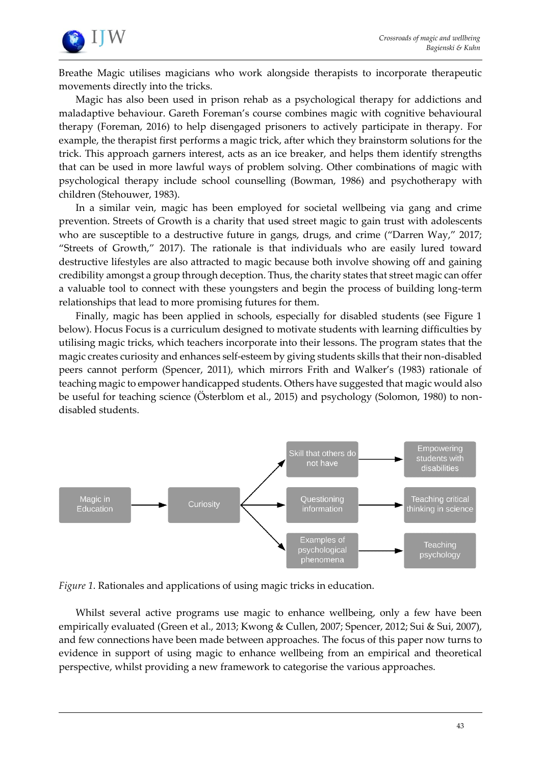

Breathe Magic utilises magicians who work alongside therapists to incorporate therapeutic movements directly into the tricks.

Magic has also been used in prison rehab as a psychological therapy for addictions and maladaptive behaviour. Gareth Foreman's course combines magic with cognitive behavioural therapy (Foreman, 2016) to help disengaged prisoners to actively participate in therapy. For example, the therapist first performs a magic trick, after which they brainstorm solutions for the trick. This approach garners interest, acts as an ice breaker, and helps them identify strengths that can be used in more lawful ways of problem solving. Other combinations of magic with psychological therapy include school counselling (Bowman, 1986) and psychotherapy with children (Stehouwer, 1983).

In a similar vein, magic has been employed for societal wellbeing via gang and crime prevention. Streets of Growth is a charity that used street magic to gain trust with adolescents who are susceptible to a destructive future in gangs, drugs, and crime ("Darren Way," 2017; "Streets of Growth," 2017). The rationale is that individuals who are easily lured toward destructive lifestyles are also attracted to magic because both involve showing off and gaining credibility amongst a group through deception. Thus, the charity states that street magic can offer a valuable tool to connect with these youngsters and begin the process of building long-term relationships that lead to more promising futures for them.

Finally, magic has been applied in schools, especially for disabled students (see Figure 1 below). Hocus Focus is a curriculum designed to motivate students with learning difficulties by utilising magic tricks, which teachers incorporate into their lessons. The program states that the magic creates curiosity and enhances self-esteem by giving students skills that their non-disabled peers cannot perform (Spencer, 2011), which mirrors Frith and Walker's (1983) rationale of teaching magic to empower handicapped students. Others have suggested that magic would also be useful for teaching science (Österblom et al., 2015) and psychology (Solomon, 1980) to nondisabled students.



*Figure 1*. Rationales and applications of using magic tricks in education.

Whilst several active programs use magic to enhance wellbeing, only a few have been empirically evaluated (Green et al., 2013; Kwong & Cullen, 2007; Spencer, 2012; Sui & Sui, 2007), and few connections have been made between approaches. The focus of this paper now turns to evidence in support of using magic to enhance wellbeing from an empirical and theoretical perspective, whilst providing a new framework to categorise the various approaches.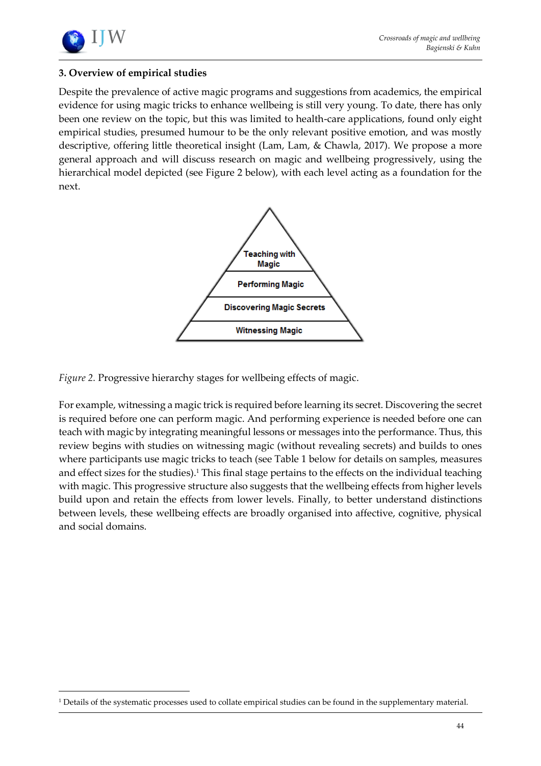

<u>.</u>

## **3. Overview of empirical studies**

Despite the prevalence of active magic programs and suggestions from academics, the empirical evidence for using magic tricks to enhance wellbeing is still very young. To date, there has only been one review on the topic, but this was limited to health-care applications, found only eight empirical studies, presumed humour to be the only relevant positive emotion, and was mostly descriptive, offering little theoretical insight (Lam, Lam, & Chawla, 2017). We propose a more general approach and will discuss research on magic and wellbeing progressively, using the hierarchical model depicted (see Figure 2 below), with each level acting as a foundation for the next.



*Figure 2.* Progressive hierarchy stages for wellbeing effects of magic.

For example, witnessing a magic trick is required before learning its secret. Discovering the secret is required before one can perform magic. And performing experience is needed before one can teach with magic by integrating meaningful lessons or messages into the performance. Thus, this review begins with studies on witnessing magic (without revealing secrets) and builds to ones where participants use magic tricks to teach (see Table 1 below for details on samples, measures and effect sizes for the studies).<sup>1</sup> This final stage pertains to the effects on the individual teaching with magic. This progressive structure also suggests that the wellbeing effects from higher levels build upon and retain the effects from lower levels. Finally, to better understand distinctions between levels, these wellbeing effects are broadly organised into affective, cognitive, physical and social domains.

<sup>1</sup> Details of the systematic processes used to collate empirical studies can be found in the supplementary material.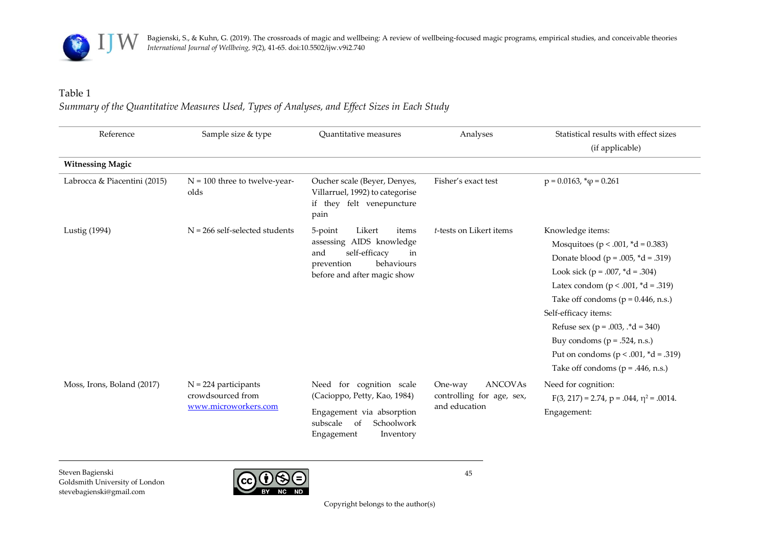

Bagienski, S., & Kuhn, G. (2019). The crossroads of magic and wellbeing: A review of wellbeing-focused magic programs, empirical studies, and conceivable theories *International Journal of Wellbeing, 9*(2), 41-65. doi:10.5502/ijw.v9i2.740

# Table 1

*Summary of the Quantitative Measures Used, Types of Analyses, and Effect Sizes in Each Study*

| Reference                    | Sample size & type                                                  | Quantitative measures                                                                                                                            | Analyses                                                                | Statistical results with effect sizes<br>(if applicable)                                                                                                                                                                                                                                                                                                                                                                                   |
|------------------------------|---------------------------------------------------------------------|--------------------------------------------------------------------------------------------------------------------------------------------------|-------------------------------------------------------------------------|--------------------------------------------------------------------------------------------------------------------------------------------------------------------------------------------------------------------------------------------------------------------------------------------------------------------------------------------------------------------------------------------------------------------------------------------|
| <b>Witnessing Magic</b>      |                                                                     |                                                                                                                                                  |                                                                         |                                                                                                                                                                                                                                                                                                                                                                                                                                            |
| Labrocca & Piacentini (2015) | $N = 100$ three to twelve-year-<br>olds                             | Oucher scale (Beyer, Denyes,<br>Villarruel, 1992) to categorise<br>if they felt venepuncture<br>pain                                             | Fisher's exact test                                                     | $p = 0.0163$ , * $\varphi = 0.261$                                                                                                                                                                                                                                                                                                                                                                                                         |
| Lustig (1994)                | $N = 266$ self-selected students                                    | Likert<br>items<br>5-point<br>assessing AIDS knowledge<br>self-efficacy<br>and<br>in<br>behaviours<br>prevention<br>before and after magic show  | t-tests on Likert items                                                 | Knowledge items:<br>Mosquitoes ( $p < .001$ , $d = 0.383$ )<br>Donate blood ( $p = .005$ , $*d = .319$ )<br>Look sick ( $p = .007$ , $*d = .304$ )<br>Latex condom ( $p < .001$ , $d = .319$ )<br>Take off condoms ( $p = 0.446$ , n.s.)<br>Self-efficacy items:<br>Refuse sex ( $p = .003$ , $\cdot d = 340$ )<br>Buy condoms ( $p = .524$ , n.s.)<br>Put on condoms ( $p < .001$ , $d = .319$ )<br>Take off condoms ( $p = .446$ , n.s.) |
| Moss, Irons, Boland (2017)   | $N = 224$ participants<br>crowdsourced from<br>www.microworkers.com | Need for cognition scale<br>(Cacioppo, Petty, Kao, 1984)<br>Engagement via absorption<br>subscale<br>of<br>Schoolwork<br>Engagement<br>Inventory | <b>ANCOVAs</b><br>One-way<br>controlling for age, sex,<br>and education | Need for cognition:<br>$F(3, 217) = 2.74$ , $p = .044$ , $\eta^2 = .0014$ .<br>Engagement:                                                                                                                                                                                                                                                                                                                                                 |

Steven Bagienski Goldsmith University of London stevebagienski@gmail.com



41 45

Copyright belongs to the author(s)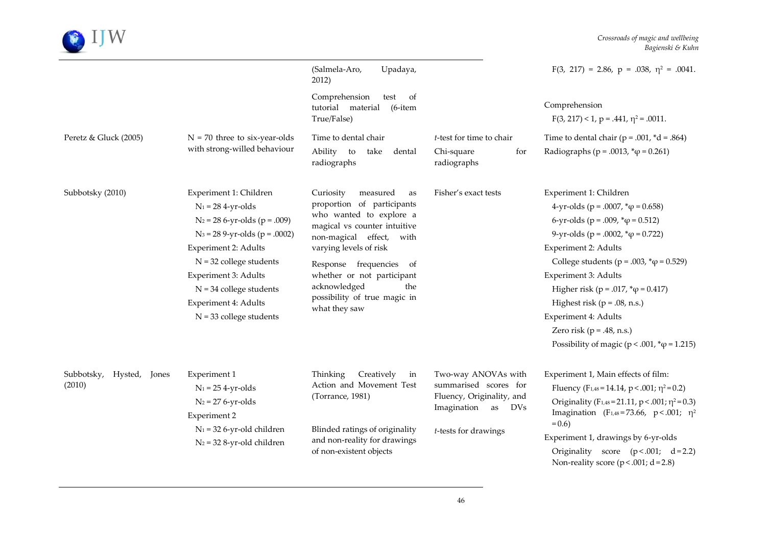

*Crossroads of magic and wellbeing Bagienski & Kuhn*

|                                       |                                                                                                                                                                                                                                                                                      | Upadaya,<br>(Salmela-Aro,<br>2012)                                                                                                                                                                                                                                                                               |                                                                                                                            | $F(3, 217) = 2.86$ , $p = .038$ , $\eta^2 = .0041$ .                                                                                                                                                                                                                                                                                                                                                                                                                                                                                |
|---------------------------------------|--------------------------------------------------------------------------------------------------------------------------------------------------------------------------------------------------------------------------------------------------------------------------------------|------------------------------------------------------------------------------------------------------------------------------------------------------------------------------------------------------------------------------------------------------------------------------------------------------------------|----------------------------------------------------------------------------------------------------------------------------|-------------------------------------------------------------------------------------------------------------------------------------------------------------------------------------------------------------------------------------------------------------------------------------------------------------------------------------------------------------------------------------------------------------------------------------------------------------------------------------------------------------------------------------|
|                                       |                                                                                                                                                                                                                                                                                      | Comprehension<br>test<br><sub>of</sub><br>tutorial material<br>$(6$ -item<br>True/False)                                                                                                                                                                                                                         |                                                                                                                            | Comprehension<br>$F(3, 217) < 1$ , $p = .441$ , $\eta^2 = .0011$ .                                                                                                                                                                                                                                                                                                                                                                                                                                                                  |
| Peretz & Gluck (2005)                 | $N = 70$ three to six-year-olds<br>with strong-willed behaviour                                                                                                                                                                                                                      | Time to dental chair<br>Ability<br>to<br>take<br>dental<br>radiographs                                                                                                                                                                                                                                           | t-test for time to chair<br>Chi-square<br>for<br>radiographs                                                               | Time to dental chair ( $p = .001$ , $*d = .864$ )<br>Radiographs (p = .0013, $^* \varphi = 0.261$ )                                                                                                                                                                                                                                                                                                                                                                                                                                 |
| Subbotsky (2010)                      | Experiment 1: Children<br>$N_1 = 284$ -yr-olds<br>$N_2 = 286$ -yr-olds (p = .009)<br>$N_3 = 289$ -yr-olds (p = .0002)<br>Experiment 2: Adults<br>$N = 32$ college students<br>Experiment 3: Adults<br>$N = 34$ college students<br>Experiment 4: Adults<br>$N = 33$ college students | Curiosity<br>measured<br>as<br>proportion of participants<br>who wanted to explore a<br>magical vs counter intuitive<br>non-magical effect, with<br>varying levels of risk<br>Response frequencies<br>- of<br>whether or not participant<br>acknowledged<br>the<br>possibility of true magic in<br>what they saw | Fisher's exact tests                                                                                                       | Experiment 1: Children<br>4-yr-olds ( $p = .0007$ , $^* \varphi = 0.658$ )<br>6-yr-olds ( $p = .009$ , $^* \varphi = 0.512$ )<br>9-yr-olds ( $p = .0002$ , $^* \varphi = 0.722$ )<br><b>Experiment 2: Adults</b><br>College students ( $p = .003$ , $^* \varphi = 0.529$ )<br><b>Experiment 3: Adults</b><br>Higher risk (p = .017, $^* \varphi = 0.417$ )<br>Highest risk ( $p = .08$ , n.s.)<br><b>Experiment 4: Adults</b><br>Zero risk ( $p = .48$ , n.s.)<br>Possibility of magic ( $p < .001$ , $\sqrt[4]{\varphi} = 1.215$ ) |
| Subbotsky,<br>Hysted, Jones<br>(2010) | Experiment 1<br>$N_1 = 254$ -yr-olds<br>$N_2$ = 27 6-yr-olds<br><b>Experiment 2</b><br>$N_1$ = 32 6-yr-old children<br>$N_2$ = 32 8-yr-old children                                                                                                                                  | Creatively<br>Thinking<br>in<br>Action and Movement Test<br>(Torrance, 1981)<br>Blinded ratings of originality<br>and non-reality for drawings<br>of non-existent objects                                                                                                                                        | Two-way ANOVAs with<br>summarised scores for<br>Fluency, Originality, and<br>Imagination as<br>DVs<br>t-tests for drawings | Experiment 1, Main effects of film:<br>Fluency (F <sub>1,48</sub> = 14.14, p < .001; $\eta$ <sup>2</sup> = 0.2)<br>Originality ( $F_{1,48} = 21.11$ , $p < .001$ ; $p^2 = 0.3$ )<br>Imagination (F <sub>1,48</sub> = 73.66, p < .001; $\eta^2$<br>$= 0.6$<br>Experiment 1, drawings by 6-yr-olds<br>Originality score $(p < .001; d = 2.2)$<br>Non-reality score ( $p < .001$ ; d = 2.8)                                                                                                                                            |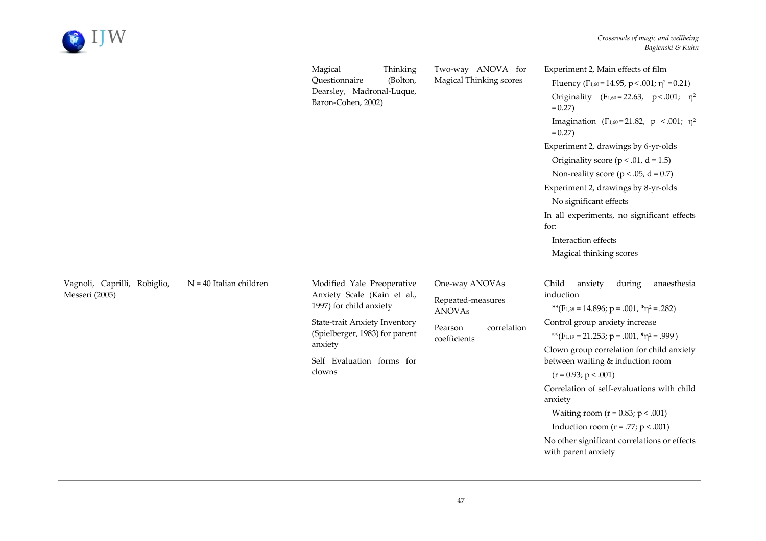

|                                                                             | Magical<br>Thinking<br>Questionnaire<br>(Bolton,<br>Dearsley, Madronal-Luque,<br>Baron-Cohen, 2002)                                                                                                       | Two-way ANOVA for<br>Magical Thinking scores                                                   | Experiment 2, Main effects of film<br>Fluency (F <sub>1,60</sub> = 14.95, p < .001; $\eta$ <sup>2</sup> = 0.21)<br>Originality (F <sub>1,60</sub> =22.63, p < .001; $\eta^2$<br>$= 0.27$<br>Imagination (F <sub>1,60</sub> =21.82, p <.001; $\eta^2$<br>$= 0.27$<br>Experiment 2, drawings by 6-yr-olds<br>Originality score ( $p < .01$ , d = 1.5)<br>Non-reality score ( $p < .05$ , d = 0.7)<br>Experiment 2, drawings by 8-yr-olds<br>No significant effects<br>In all experiments, no significant effects<br>for:<br>Interaction effects<br>Magical thinking scores |
|-----------------------------------------------------------------------------|-----------------------------------------------------------------------------------------------------------------------------------------------------------------------------------------------------------|------------------------------------------------------------------------------------------------|--------------------------------------------------------------------------------------------------------------------------------------------------------------------------------------------------------------------------------------------------------------------------------------------------------------------------------------------------------------------------------------------------------------------------------------------------------------------------------------------------------------------------------------------------------------------------|
| Vagnoli, Caprilli, Robiglio,<br>$N = 40$ Italian children<br>Messeri (2005) | Modified Yale Preoperative<br>Anxiety Scale (Kain et al.,<br>1997) for child anxiety<br>State-trait Anxiety Inventory<br>(Spielberger, 1983) for parent<br>anxiety<br>Self Evaluation forms for<br>clowns | One-way ANOVAs<br>Repeated-measures<br><b>ANOVAs</b><br>Pearson<br>correlation<br>coefficients | Child<br>anaesthesia<br>anxiety<br>during<br>induction<br>** $(F1,38 = 14.896; p = .001, *1^2 = .282)$<br>Control group anxiety increase<br>** $(F_{1,19} = 21.253; p = .001, *p^2 = .999)$<br>Clown group correlation for child anxiety<br>between waiting & induction room<br>$(r = 0.93; p < .001)$<br>Correlation of self-evaluations with child<br>anxiety<br>Waiting room ( $r = 0.83$ ; $p < .001$ )<br>Induction room $(r = .77; p < .001)$<br>No other significant correlations or effects<br>with parent anxiety                                               |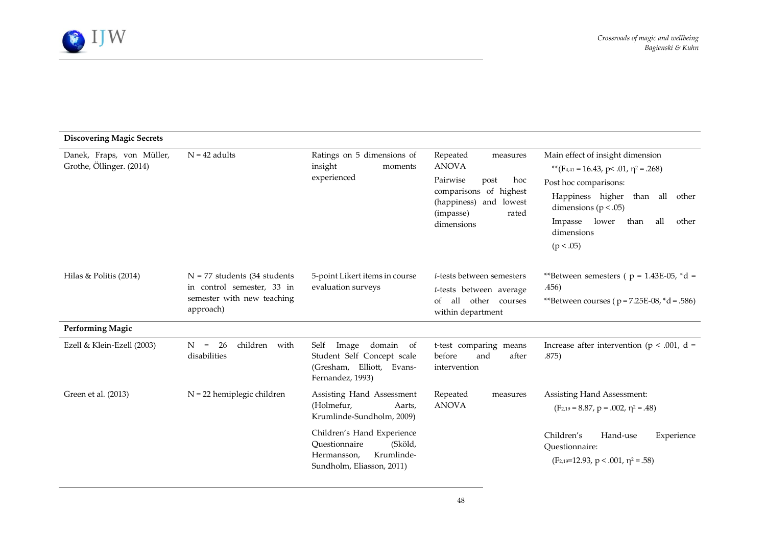

| <b>Discovering Magic Secrets</b>                      |                                                                                            |                                                                                                                  |                                                                                      |                                                                                                            |
|-------------------------------------------------------|--------------------------------------------------------------------------------------------|------------------------------------------------------------------------------------------------------------------|--------------------------------------------------------------------------------------|------------------------------------------------------------------------------------------------------------|
| Danek, Fraps, von Müller,<br>Grothe, Öllinger. (2014) | $N = 42$ adults                                                                            | Ratings on 5 dimensions of<br>insight<br>moments                                                                 | Repeated<br>measures<br><b>ANOVA</b>                                                 | Main effect of insight dimension<br>** $(F_{4,41} = 16.43, p < .01, \eta^2 = .268)$                        |
|                                                       |                                                                                            | experienced                                                                                                      | Pairwise<br>hoc<br>post                                                              | Post hoc comparisons:                                                                                      |
|                                                       |                                                                                            |                                                                                                                  | comparisons of highest<br>(happiness) and lowest<br>(impasse)<br>rated<br>dimensions | Happiness higher than all other<br>dimensions ( $p < .05$ )                                                |
|                                                       |                                                                                            |                                                                                                                  |                                                                                      | Impasse lower<br>than<br>all<br>other<br>dimensions                                                        |
|                                                       |                                                                                            |                                                                                                                  |                                                                                      | (p < .05)                                                                                                  |
| Hilas & Politis (2014)                                | $N = 77$ students (34 students<br>in control semester, 33 in<br>semester with new teaching | 5-point Likert items in course<br>evaluation surveys                                                             | t-tests between semesters<br>t-tests between average<br>all other courses<br>of      | **Between semesters ( $p = 1.43E-05$ , $d =$<br>.456)<br>**Between courses ( $p = 7.25E-08$ , $d = .586$ ) |
|                                                       | approach)                                                                                  |                                                                                                                  | within department                                                                    |                                                                                                            |
| <b>Performing Magic</b>                               |                                                                                            |                                                                                                                  |                                                                                      |                                                                                                            |
| Ezell & Klein-Ezell (2003)                            | children<br>with<br>$N =$<br>26<br>disabilities                                            | Self<br>domain of<br>Image<br>Student Self Concept scale<br>(Gresham, Elliott, Evans-<br>Fernandez, 1993)        | t-test comparing means<br>before<br>and<br>after<br>intervention                     | Increase after intervention ( $p < .001$ , d =<br>.875)                                                    |
| Green et al. (2013)                                   | $N = 22$ hemiplegic children                                                               | Assisting Hand Assessment<br>(Holmefur,<br>Aarts,<br>Krumlinde-Sundholm, 2009)                                   | Repeated<br>measures<br><b>ANOVA</b>                                                 | Assisting Hand Assessment:<br>$(F_{2,19} = 8.87, p = .002, \eta^2 = .48)$                                  |
|                                                       |                                                                                            | Children's Hand Experience<br>Questionnaire<br>(Sköld,<br>Krumlinde-<br>Hermansson,<br>Sundholm, Eliasson, 2011) |                                                                                      | Children's<br>Hand-use<br>Experience<br>Questionnaire:<br>$(F_{2,19}=12.93, p < .001, \eta^2 = .58)$       |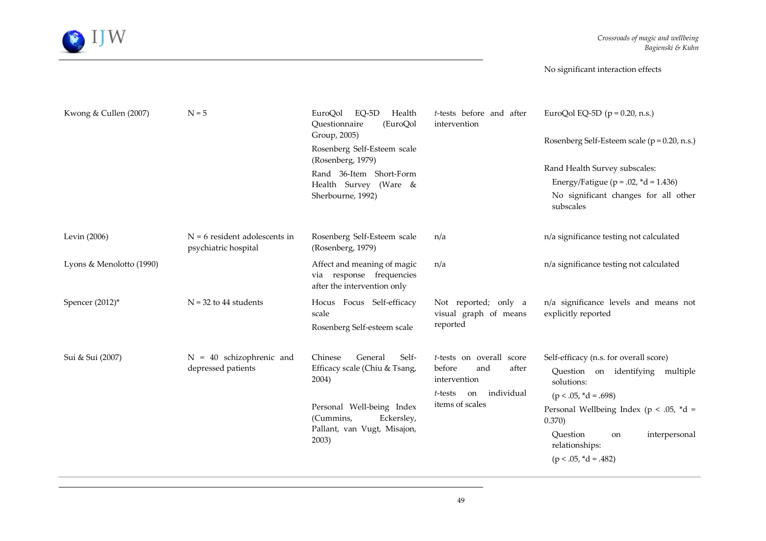

No significant interaction effects

|  | Kwong & Cullen (2007)    | $N = 5$                                                 | EuroQol<br>EQ-5D<br>Health<br>Questionnaire<br>(EuroQol<br>Group, 2005)                      | t-tests before and after<br>intervention                                                 | EuroQol EQ-5D ( $p = 0.20$ , n.s.)                           |
|--|--------------------------|---------------------------------------------------------|----------------------------------------------------------------------------------------------|------------------------------------------------------------------------------------------|--------------------------------------------------------------|
|  |                          |                                                         | Rosenberg Self-Esteem scale<br>(Rosenberg, 1979)                                             |                                                                                          | Rosenberg Self-Esteem scale (p = 0.20, n.s.)                 |
|  |                          |                                                         | Rand 36-Item Short-Form                                                                      |                                                                                          | Rand Health Survey subscales:                                |
|  |                          |                                                         | Health Survey (Ware &                                                                        |                                                                                          | Energy/Fatigue ( $p = .02$ , $*d = 1.436$ )                  |
|  |                          |                                                         | Sherbourne, 1992)                                                                            |                                                                                          | No significant changes for all other<br>subscales            |
|  | Levin (2006)             | $N = 6$ resident adolescents in<br>psychiatric hospital | Rosenberg Self-Esteem scale<br>(Rosenberg, 1979)                                             | n/a                                                                                      | n/a significance testing not calculated                      |
|  | Lyons & Menolotto (1990) |                                                         | Affect and meaning of magic<br>via response frequencies<br>after the intervention only       | n/a                                                                                      | n/a significance testing not calculated                      |
|  | Spencer (2012)*          | $N = 32$ to 44 students                                 | Hocus Focus Self-efficacy<br>scale                                                           | Not reported; only a<br>visual graph of means<br>reported                                | n/a significance levels and means not<br>explicitly reported |
|  |                          |                                                         | Rosenberg Self-esteem scale                                                                  |                                                                                          |                                                              |
|  | Sui & Sui (2007)         | $N = 40$ schizophrenic and                              | General<br>Self-<br>Chinese                                                                  | t-tests on overall score                                                                 | Self-efficacy (n.s. for overall score)                       |
|  |                          | depressed patients                                      | Efficacy scale (Chiu & Tsang,<br>2004)                                                       | before<br>after<br>and<br>intervention<br>individual<br>t-tests<br>on<br>items of scales | Question on identifying multiple<br>solutions:               |
|  |                          |                                                         |                                                                                              |                                                                                          | $(p < .05, *d = .698)$                                       |
|  |                          |                                                         | Personal Well-being Index<br>(Cummins,<br>Eckersley,<br>Pallant, van Vugt, Misajon,<br>2003) |                                                                                          | Personal Wellbeing Index ( $p < .05$ , $d =$<br>0.370)       |
|  |                          |                                                         |                                                                                              | Ouestion<br>interpersonal<br>on<br>relationships:                                        |                                                              |
|  |                          |                                                         |                                                                                              |                                                                                          | $(p < .05, *d = .482)$                                       |
|  |                          |                                                         |                                                                                              |                                                                                          |                                                              |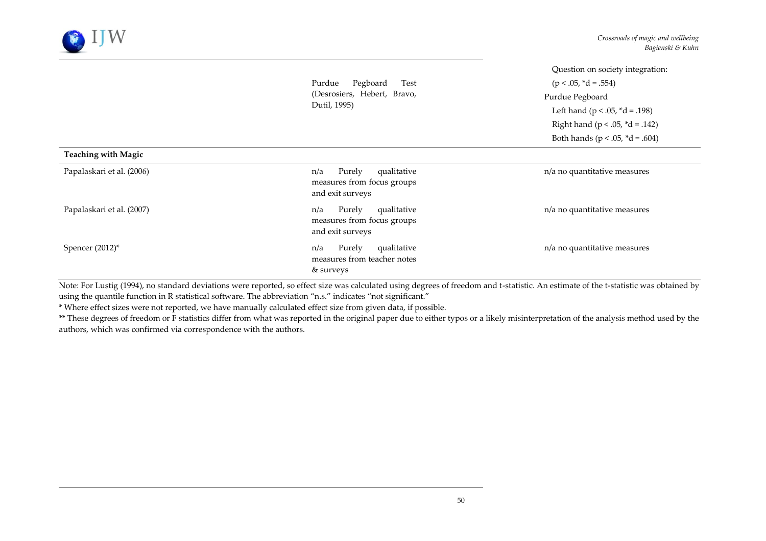

|                            | Purdue<br>Test<br>Pegboard                                                     | Question on society integration:       |  |  |
|----------------------------|--------------------------------------------------------------------------------|----------------------------------------|--|--|
|                            |                                                                                | $(p < .05, *d = .554)$                 |  |  |
|                            | (Desrosiers, Hebert, Bravo,                                                    | Purdue Pegboard                        |  |  |
|                            | Dutil, 1995)                                                                   | Left hand ( $p < .05$ , $*d = .198$ )  |  |  |
|                            |                                                                                | Right hand ( $p < .05$ , $d = .142$ )  |  |  |
|                            |                                                                                | Both hands ( $p < .05$ , $*d = .604$ ) |  |  |
| <b>Teaching with Magic</b> |                                                                                |                                        |  |  |
| Papalaskari et al. (2006)  | Purely<br>qualitative<br>n/a<br>measures from focus groups<br>and exit surveys | n/a no quantitative measures           |  |  |
| Papalaskari et al. (2007)  | Purely<br>qualitative<br>n/a<br>measures from focus groups<br>and exit surveys | n/a no quantitative measures           |  |  |
| Spencer $(2012)^*$         | Purely<br>qualitative<br>n/a<br>measures from teacher notes<br>& surveys       | n/a no quantitative measures           |  |  |

Note: For Lustig (1994), no standard deviations were reported, so effect size was calculated using degrees of freedom and t-statistic. An estimate of the t-statistic was obtained by using the quantile function in R statistical software. The abbreviation "n.s." indicates "not significant."

\* Where effect sizes were not reported, we have manually calculated effect size from given data, if possible.

\*\* These degrees of freedom or F statistics differ from what was reported in the original paper due to either typos or a likely misinterpretation of the analysis method used by the authors, which was confirmed via correspondence with the authors.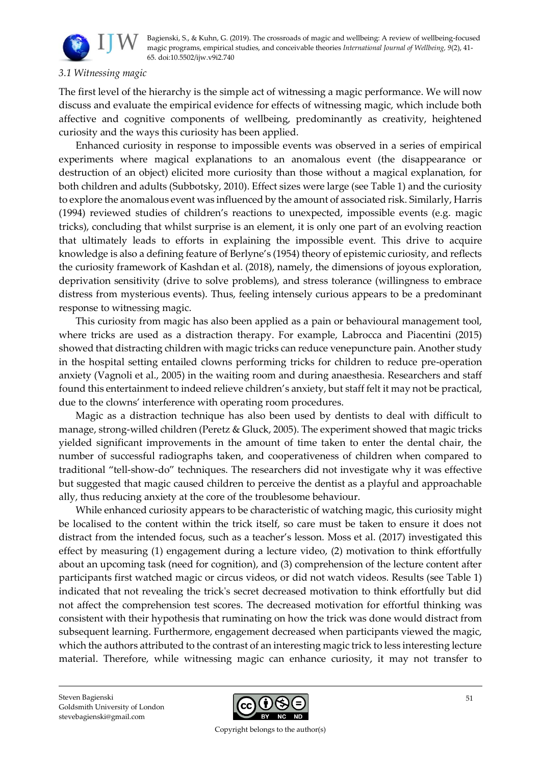

Bagienski, S., & Kuhn, G. (2019). The crossroads of magic and wellbeing: A review of wellbeing-focused magic programs, empirical studies, and conceivable theories *International Journal of Wellbeing, 9*(2), 41- 65. doi:10.5502/ijw.v9i2.740

#### *3.1 Witnessing magic*

The first level of the hierarchy is the simple act of witnessing a magic performance. We will now discuss and evaluate the empirical evidence for effects of witnessing magic, which include both affective and cognitive components of wellbeing, predominantly as creativity, heightened curiosity and the ways this curiosity has been applied.

Enhanced curiosity in response to impossible events was observed in a series of empirical experiments where magical explanations to an anomalous event (the disappearance or destruction of an object) elicited more curiosity than those without a magical explanation, for both children and adults (Subbotsky, 2010). Effect sizes were large (see Table 1) and the curiosity to explore the anomalous event was influenced by the amount of associated risk. Similarly, Harris (1994) reviewed studies of children's reactions to unexpected, impossible events (e.g. magic tricks), concluding that whilst surprise is an element, it is only one part of an evolving reaction that ultimately leads to efforts in explaining the impossible event. This drive to acquire knowledge is also a defining feature of Berlyne's (1954) theory of epistemic curiosity, and reflects the curiosity framework of Kashdan et al. (2018), namely, the dimensions of joyous exploration, deprivation sensitivity (drive to solve problems), and stress tolerance (willingness to embrace distress from mysterious events). Thus, feeling intensely curious appears to be a predominant response to witnessing magic.

This curiosity from magic has also been applied as a pain or behavioural management tool, where tricks are used as a distraction therapy. For example, Labrocca and Piacentini (2015) showed that distracting children with magic tricks can reduce venepuncture pain. Another study in the hospital setting entailed clowns performing tricks for children to reduce pre-operation anxiety (Vagnoli et al., 2005) in the waiting room and during anaesthesia. Researchers and staff found this entertainment to indeed relieve children's anxiety, but staff felt it may not be practical, due to the clowns' interference with operating room procedures.

Magic as a distraction technique has also been used by dentists to deal with difficult to manage, strong-willed children (Peretz & Gluck, 2005). The experiment showed that magic tricks yielded significant improvements in the amount of time taken to enter the dental chair, the number of successful radiographs taken, and cooperativeness of children when compared to traditional "tell-show-do" techniques. The researchers did not investigate why it was effective but suggested that magic caused children to perceive the dentist as a playful and approachable ally, thus reducing anxiety at the core of the troublesome behaviour.

While enhanced curiosity appears to be characteristic of watching magic, this curiosity might be localised to the content within the trick itself, so care must be taken to ensure it does not distract from the intended focus, such as a teacher's lesson. Moss et al. (2017) investigated this effect by measuring (1) engagement during a lecture video, (2) motivation to think effortfully about an upcoming task (need for cognition), and (3) comprehension of the lecture content after participants first watched magic or circus videos, or did not watch videos. Results (see Table 1) indicated that not revealing the trick's secret decreased motivation to think effortfully but did not affect the comprehension test scores. The decreased motivation for effortful thinking was consistent with their hypothesis that ruminating on how the trick was done would distract from subsequent learning. Furthermore, engagement decreased when participants viewed the magic, which the authors attributed to the contrast of an interesting magic trick to less interesting lecture material. Therefore, while witnessing magic can enhance curiosity, it may not transfer to

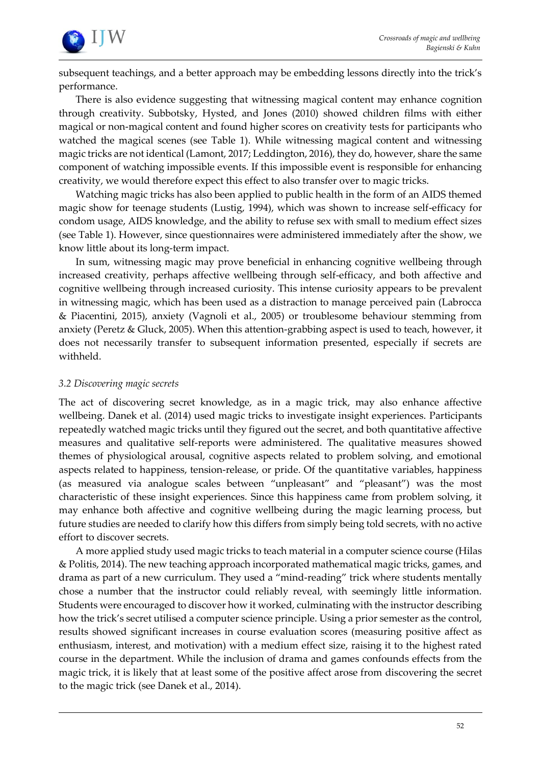

subsequent teachings, and a better approach may be embedding lessons directly into the trick's performance.

There is also evidence suggesting that witnessing magical content may enhance cognition through creativity. Subbotsky, Hysted, and Jones (2010) showed children films with either magical or non-magical content and found higher scores on creativity tests for participants who watched the magical scenes (see Table 1). While witnessing magical content and witnessing magic tricks are not identical (Lamont, 2017; Leddington, 2016), they do, however, share the same component of watching impossible events. If this impossible event is responsible for enhancing creativity, we would therefore expect this effect to also transfer over to magic tricks.

Watching magic tricks has also been applied to public health in the form of an AIDS themed magic show for teenage students (Lustig, 1994), which was shown to increase self-efficacy for condom usage, AIDS knowledge, and the ability to refuse sex with small to medium effect sizes (see Table 1). However, since questionnaires were administered immediately after the show, we know little about its long-term impact.

In sum, witnessing magic may prove beneficial in enhancing cognitive wellbeing through increased creativity, perhaps affective wellbeing through self-efficacy, and both affective and cognitive wellbeing through increased curiosity. This intense curiosity appears to be prevalent in witnessing magic, which has been used as a distraction to manage perceived pain (Labrocca & Piacentini, 2015), anxiety (Vagnoli et al., 2005) or troublesome behaviour stemming from anxiety (Peretz & Gluck, 2005). When this attention-grabbing aspect is used to teach, however, it does not necessarily transfer to subsequent information presented, especially if secrets are withheld.

#### *3.2 Discovering magic secrets*

The act of discovering secret knowledge, as in a magic trick, may also enhance affective wellbeing. Danek et al. (2014) used magic tricks to investigate insight experiences. Participants repeatedly watched magic tricks until they figured out the secret, and both quantitative affective measures and qualitative self-reports were administered. The qualitative measures showed themes of physiological arousal, cognitive aspects related to problem solving, and emotional aspects related to happiness, tension-release, or pride. Of the quantitative variables, happiness (as measured via analogue scales between "unpleasant" and "pleasant") was the most characteristic of these insight experiences. Since this happiness came from problem solving, it may enhance both affective and cognitive wellbeing during the magic learning process, but future studies are needed to clarify how this differs from simply being told secrets, with no active effort to discover secrets.

A more applied study used magic tricks to teach material in a computer science course (Hilas & Politis, 2014). The new teaching approach incorporated mathematical magic tricks, games, and drama as part of a new curriculum. They used a "mind-reading" trick where students mentally chose a number that the instructor could reliably reveal, with seemingly little information. Students were encouraged to discover how it worked, culminating with the instructor describing how the trick's secret utilised a computer science principle. Using a prior semester as the control, results showed significant increases in course evaluation scores (measuring positive affect as enthusiasm, interest, and motivation) with a medium effect size, raising it to the highest rated course in the department. While the inclusion of drama and games confounds effects from the magic trick, it is likely that at least some of the positive affect arose from discovering the secret to the magic trick (see Danek et al., 2014).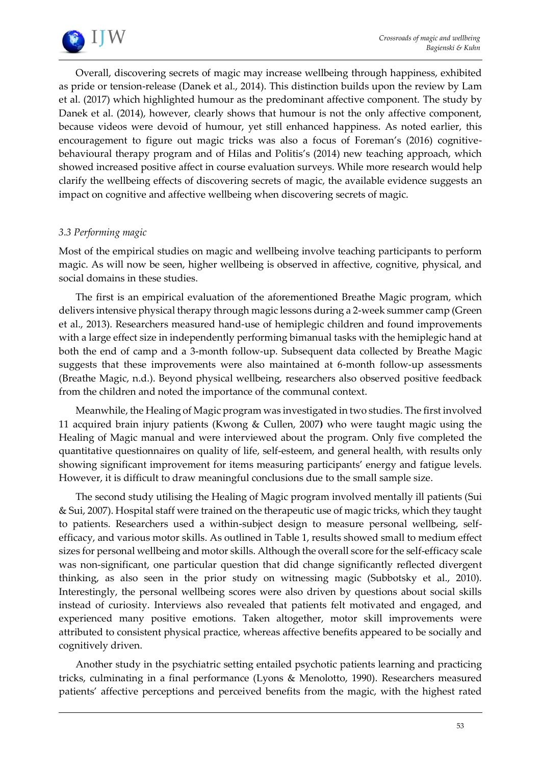

Overall, discovering secrets of magic may increase wellbeing through happiness, exhibited as pride or tension-release (Danek et al., 2014). This distinction builds upon the review by Lam et al. (2017) which highlighted humour as the predominant affective component. The study by Danek et al. (2014), however, clearly shows that humour is not the only affective component, because videos were devoid of humour, yet still enhanced happiness. As noted earlier, this encouragement to figure out magic tricks was also a focus of Foreman's (2016) cognitivebehavioural therapy program and of Hilas and Politis's (2014) new teaching approach, which showed increased positive affect in course evaluation surveys. While more research would help clarify the wellbeing effects of discovering secrets of magic, the available evidence suggests an impact on cognitive and affective wellbeing when discovering secrets of magic.

## *3.3 Performing magic*

Most of the empirical studies on magic and wellbeing involve teaching participants to perform magic. As will now be seen, higher wellbeing is observed in affective, cognitive, physical, and social domains in these studies.

The first is an empirical evaluation of the aforementioned Breathe Magic program, which delivers intensive physical therapy through magic lessons during a 2-week summer camp (Green et al., 2013). Researchers measured hand-use of hemiplegic children and found improvements with a large effect size in independently performing bimanual tasks with the hemiplegic hand at both the end of camp and a 3-month follow-up. Subsequent data collected by Breathe Magic suggests that these improvements were also maintained at 6-month follow-up assessments (Breathe Magic, n.d.). Beyond physical wellbeing, researchers also observed positive feedback from the children and noted the importance of the communal context.

Meanwhile, the Healing of Magic program was investigated in two studies. The first involved 11 acquired brain injury patients (Kwong & Cullen, 2007**)** who were taught magic using the Healing of Magic manual and were interviewed about the program. Only five completed the quantitative questionnaires on quality of life, self-esteem, and general health, with results only showing significant improvement for items measuring participants' energy and fatigue levels. However, it is difficult to draw meaningful conclusions due to the small sample size.

The second study utilising the Healing of Magic program involved mentally ill patients (Sui & Sui, 2007). Hospital staff were trained on the therapeutic use of magic tricks, which they taught to patients. Researchers used a within-subject design to measure personal wellbeing, selfefficacy, and various motor skills. As outlined in Table 1, results showed small to medium effect sizes for personal wellbeing and motor skills. Although the overall score for the self-efficacy scale was non-significant, one particular question that did change significantly reflected divergent thinking, as also seen in the prior study on witnessing magic (Subbotsky et al., 2010). Interestingly, the personal wellbeing scores were also driven by questions about social skills instead of curiosity. Interviews also revealed that patients felt motivated and engaged, and experienced many positive emotions. Taken altogether, motor skill improvements were attributed to consistent physical practice, whereas affective benefits appeared to be socially and cognitively driven.

Another study in the psychiatric setting entailed psychotic patients learning and practicing tricks, culminating in a final performance (Lyons & Menolotto, 1990). Researchers measured patients' affective perceptions and perceived benefits from the magic, with the highest rated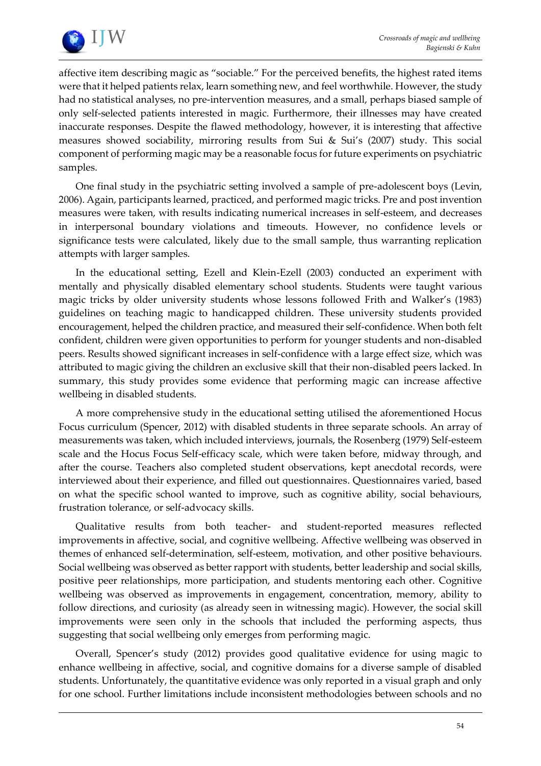

affective item describing magic as "sociable." For the perceived benefits, the highest rated items were that it helped patients relax, learn something new, and feel worthwhile. However, the study had no statistical analyses, no pre-intervention measures, and a small, perhaps biased sample of only self-selected patients interested in magic. Furthermore, their illnesses may have created inaccurate responses. Despite the flawed methodology, however, it is interesting that affective measures showed sociability, mirroring results from Sui & Sui's (2007) study. This social component of performing magic may be a reasonable focus for future experiments on psychiatric samples.

One final study in the psychiatric setting involved a sample of pre-adolescent boys (Levin, 2006). Again, participants learned, practiced, and performed magic tricks. Pre and post invention measures were taken, with results indicating numerical increases in self-esteem, and decreases in interpersonal boundary violations and timeouts. However, no confidence levels or significance tests were calculated, likely due to the small sample, thus warranting replication attempts with larger samples.

In the educational setting, Ezell and Klein-Ezell (2003) conducted an experiment with mentally and physically disabled elementary school students. Students were taught various magic tricks by older university students whose lessons followed Frith and Walker's (1983) guidelines on teaching magic to handicapped children. These university students provided encouragement, helped the children practice, and measured their self-confidence. When both felt confident, children were given opportunities to perform for younger students and non-disabled peers. Results showed significant increases in self-confidence with a large effect size, which was attributed to magic giving the children an exclusive skill that their non-disabled peers lacked. In summary, this study provides some evidence that performing magic can increase affective wellbeing in disabled students.

A more comprehensive study in the educational setting utilised the aforementioned Hocus Focus curriculum (Spencer, 2012) with disabled students in three separate schools. An array of measurements was taken, which included interviews, journals, the Rosenberg (1979) Self-esteem scale and the Hocus Focus Self-efficacy scale, which were taken before, midway through, and after the course. Teachers also completed student observations, kept anecdotal records, were interviewed about their experience, and filled out questionnaires. Questionnaires varied, based on what the specific school wanted to improve, such as cognitive ability, social behaviours, frustration tolerance, or self-advocacy skills.

Qualitative results from both teacher- and student-reported measures reflected improvements in affective, social, and cognitive wellbeing. Affective wellbeing was observed in themes of enhanced self-determination, self-esteem, motivation, and other positive behaviours. Social wellbeing was observed as better rapport with students, better leadership and social skills, positive peer relationships, more participation, and students mentoring each other. Cognitive wellbeing was observed as improvements in engagement, concentration, memory, ability to follow directions, and curiosity (as already seen in witnessing magic). However, the social skill improvements were seen only in the schools that included the performing aspects, thus suggesting that social wellbeing only emerges from performing magic.

Overall, Spencer's study (2012) provides good qualitative evidence for using magic to enhance wellbeing in affective, social, and cognitive domains for a diverse sample of disabled students. Unfortunately, the quantitative evidence was only reported in a visual graph and only for one school. Further limitations include inconsistent methodologies between schools and no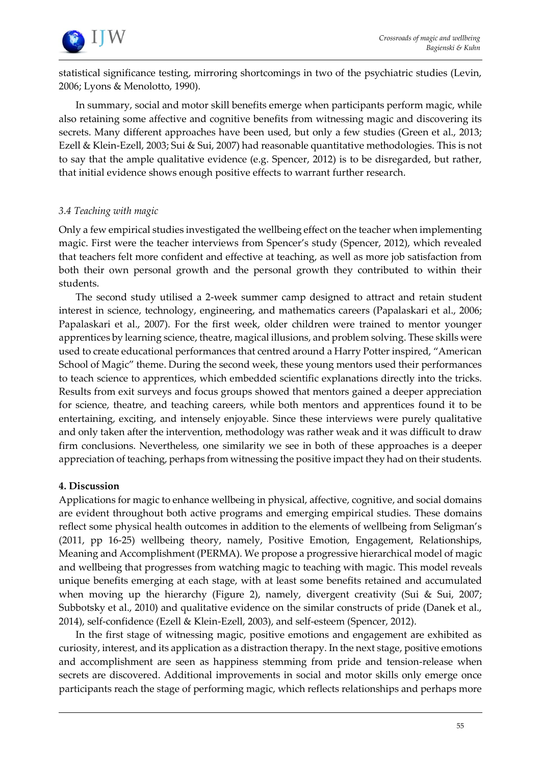

statistical significance testing, mirroring shortcomings in two of the psychiatric studies (Levin, 2006; Lyons & Menolotto, 1990).

In summary, social and motor skill benefits emerge when participants perform magic, while also retaining some affective and cognitive benefits from witnessing magic and discovering its secrets. Many different approaches have been used, but only a few studies (Green et al., 2013; Ezell & Klein-Ezell, 2003; Sui & Sui, 2007) had reasonable quantitative methodologies. This is not to say that the ample qualitative evidence (e.g. Spencer, 2012) is to be disregarded, but rather, that initial evidence shows enough positive effects to warrant further research.

## *3.4 Teaching with magic*

Only a few empirical studies investigated the wellbeing effect on the teacher when implementing magic. First were the teacher interviews from Spencer's study (Spencer, 2012), which revealed that teachers felt more confident and effective at teaching, as well as more job satisfaction from both their own personal growth and the personal growth they contributed to within their students.

The second study utilised a 2-week summer camp designed to attract and retain student interest in science, technology, engineering, and mathematics careers (Papalaskari et al., 2006; Papalaskari et al., 2007). For the first week, older children were trained to mentor younger apprentices by learning science, theatre, magical illusions, and problem solving. These skills were used to create educational performances that centred around a Harry Potter inspired, "American School of Magic" theme. During the second week, these young mentors used their performances to teach science to apprentices, which embedded scientific explanations directly into the tricks. Results from exit surveys and focus groups showed that mentors gained a deeper appreciation for science, theatre, and teaching careers, while both mentors and apprentices found it to be entertaining, exciting, and intensely enjoyable. Since these interviews were purely qualitative and only taken after the intervention, methodology was rather weak and it was difficult to draw firm conclusions. Nevertheless, one similarity we see in both of these approaches is a deeper appreciation of teaching, perhaps from witnessing the positive impact they had on their students.

#### **4. Discussion**

Applications for magic to enhance wellbeing in physical, affective, cognitive, and social domains are evident throughout both active programs and emerging empirical studies. These domains reflect some physical health outcomes in addition to the elements of wellbeing from Seligman's (2011, pp 16-25) wellbeing theory, namely, Positive Emotion, Engagement, Relationships, Meaning and Accomplishment (PERMA). We propose a progressive hierarchical model of magic and wellbeing that progresses from watching magic to teaching with magic. This model reveals unique benefits emerging at each stage, with at least some benefits retained and accumulated when moving up the hierarchy (Figure 2), namely, divergent creativity (Sui & Sui, 2007; Subbotsky et al., 2010) and qualitative evidence on the similar constructs of pride (Danek et al., 2014), self-confidence (Ezell & Klein-Ezell, 2003), and self-esteem (Spencer, 2012).

In the first stage of witnessing magic, positive emotions and engagement are exhibited as curiosity, interest, and its application as a distraction therapy. In the next stage, positive emotions and accomplishment are seen as happiness stemming from pride and tension-release when secrets are discovered. Additional improvements in social and motor skills only emerge once participants reach the stage of performing magic, which reflects relationships and perhaps more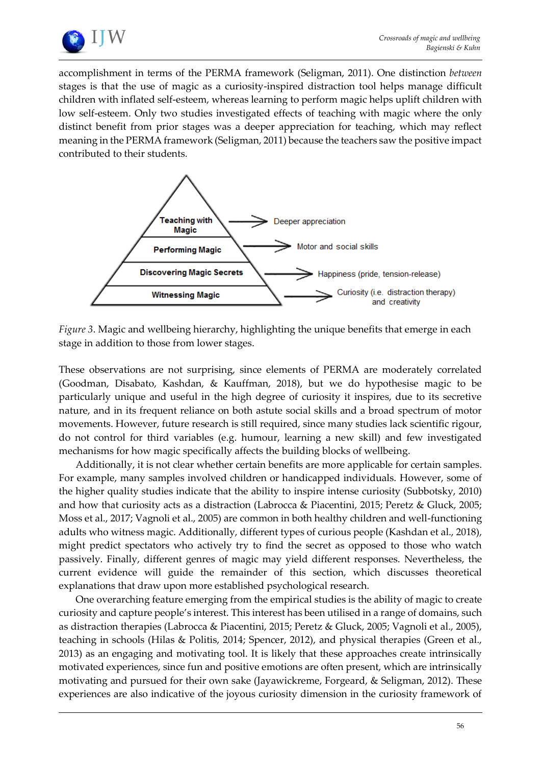

accomplishment in terms of the PERMA framework (Seligman, 2011). One distinction *between* stages is that the use of magic as a curiosity-inspired distraction tool helps manage difficult children with inflated self-esteem, whereas learning to perform magic helps uplift children with low self-esteem. Only two studies investigated effects of teaching with magic where the only distinct benefit from prior stages was a deeper appreciation for teaching, which may reflect meaning in the PERMA framework (Seligman, 2011) because the teachers saw the positive impact contributed to their students.



*Figure 3*. Magic and wellbeing hierarchy, highlighting the unique benefits that emerge in each stage in addition to those from lower stages.

These observations are not surprising, since elements of PERMA are moderately correlated (Goodman, Disabato, Kashdan, & Kauffman, 2018), but we do hypothesise magic to be particularly unique and useful in the high degree of curiosity it inspires, due to its secretive nature, and in its frequent reliance on both astute social skills and a broad spectrum of motor movements. However, future research is still required, since many studies lack scientific rigour, do not control for third variables (e.g. humour, learning a new skill) and few investigated mechanisms for how magic specifically affects the building blocks of wellbeing.

Additionally, it is not clear whether certain benefits are more applicable for certain samples. For example, many samples involved children or handicapped individuals. However, some of the higher quality studies indicate that the ability to inspire intense curiosity (Subbotsky, 2010) and how that curiosity acts as a distraction (Labrocca & Piacentini, 2015; Peretz & Gluck, 2005; Moss et al., 2017; Vagnoli et al., 2005) are common in both healthy children and well-functioning adults who witness magic. Additionally, different types of curious people (Kashdan et al., 2018), might predict spectators who actively try to find the secret as opposed to those who watch passively. Finally, different genres of magic may yield different responses. Nevertheless, the current evidence will guide the remainder of this section, which discusses theoretical explanations that draw upon more established psychological research.

One overarching feature emerging from the empirical studies is the ability of magic to create curiosity and capture people's interest. This interest has been utilised in a range of domains, such as distraction therapies (Labrocca & Piacentini, 2015; Peretz & Gluck, 2005; Vagnoli et al., 2005), teaching in schools (Hilas & Politis, 2014; Spencer, 2012), and physical therapies (Green et al., 2013) as an engaging and motivating tool. It is likely that these approaches create intrinsically motivated experiences, since fun and positive emotions are often present, which are intrinsically motivating and pursued for their own sake (Jayawickreme, Forgeard, & Seligman, 2012). These experiences are also indicative of the joyous curiosity dimension in the curiosity framework of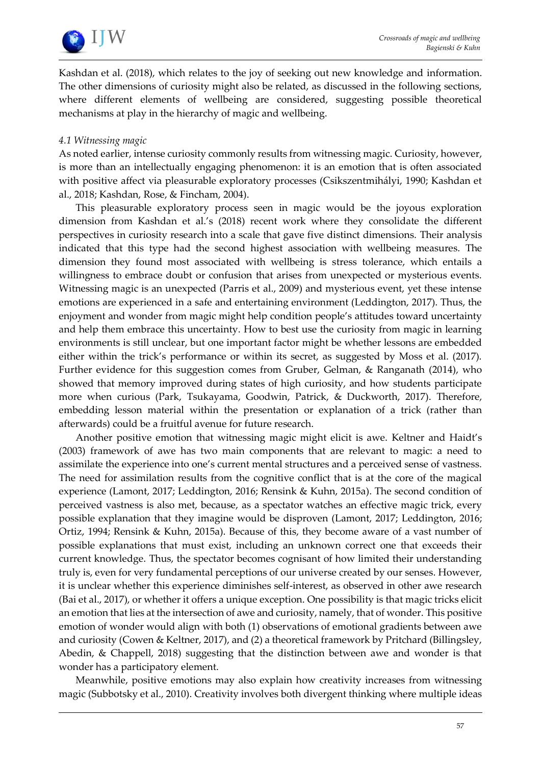

Kashdan et al. (2018), which relates to the joy of seeking out new knowledge and information. The other dimensions of curiosity might also be related, as discussed in the following sections, where different elements of wellbeing are considered, suggesting possible theoretical mechanisms at play in the hierarchy of magic and wellbeing.

#### *4.1 Witnessing magic*

As noted earlier, intense curiosity commonly results from witnessing magic. Curiosity, however, is more than an intellectually engaging phenomenon: it is an emotion that is often associated with positive affect via pleasurable exploratory processes (Csikszentmihályi, 1990; Kashdan et al., 2018; Kashdan, Rose, & Fincham, 2004).

This pleasurable exploratory process seen in magic would be the joyous exploration dimension from Kashdan et al.'s (2018) recent work where they consolidate the different perspectives in curiosity research into a scale that gave five distinct dimensions. Their analysis indicated that this type had the second highest association with wellbeing measures. The dimension they found most associated with wellbeing is stress tolerance, which entails a willingness to embrace doubt or confusion that arises from unexpected or mysterious events. Witnessing magic is an unexpected (Parris et al., 2009) and mysterious event, yet these intense emotions are experienced in a safe and entertaining environment (Leddington, 2017). Thus, the enjoyment and wonder from magic might help condition people's attitudes toward uncertainty and help them embrace this uncertainty. How to best use the curiosity from magic in learning environments is still unclear, but one important factor might be whether lessons are embedded either within the trick's performance or within its secret, as suggested by Moss et al. (2017). Further evidence for this suggestion comes from Gruber, Gelman, & Ranganath (2014), who showed that memory improved during states of high curiosity, and how students participate more when curious (Park, Tsukayama, Goodwin, Patrick, & Duckworth, 2017). Therefore, embedding lesson material within the presentation or explanation of a trick (rather than afterwards) could be a fruitful avenue for future research.

Another positive emotion that witnessing magic might elicit is awe. Keltner and Haidt's (2003) framework of awe has two main components that are relevant to magic: a need to assimilate the experience into one's current mental structures and a perceived sense of vastness. The need for assimilation results from the cognitive conflict that is at the core of the magical experience (Lamont, 2017; Leddington, 2016; Rensink & Kuhn, 2015a). The second condition of perceived vastness is also met, because, as a spectator watches an effective magic trick, every possible explanation that they imagine would be disproven (Lamont, 2017; Leddington, 2016; Ortiz, 1994; Rensink & Kuhn, 2015a). Because of this, they become aware of a vast number of possible explanations that must exist, including an unknown correct one that exceeds their current knowledge. Thus, the spectator becomes cognisant of how limited their understanding truly is, even for very fundamental perceptions of our universe created by our senses. However, it is unclear whether this experience diminishes self-interest, as observed in other awe research (Bai et al., 2017), or whether it offers a unique exception. One possibility is that magic tricks elicit an emotion that lies at the intersection of awe and curiosity, namely, that of wonder. This positive emotion of wonder would align with both (1) observations of emotional gradients between awe and curiosity (Cowen & Keltner, 2017), and (2) a theoretical framework by Pritchard (Billingsley, Abedin, & Chappell, 2018) suggesting that the distinction between awe and wonder is that wonder has a participatory element.

Meanwhile, positive emotions may also explain how creativity increases from witnessing magic (Subbotsky et al., 2010). Creativity involves both divergent thinking where multiple ideas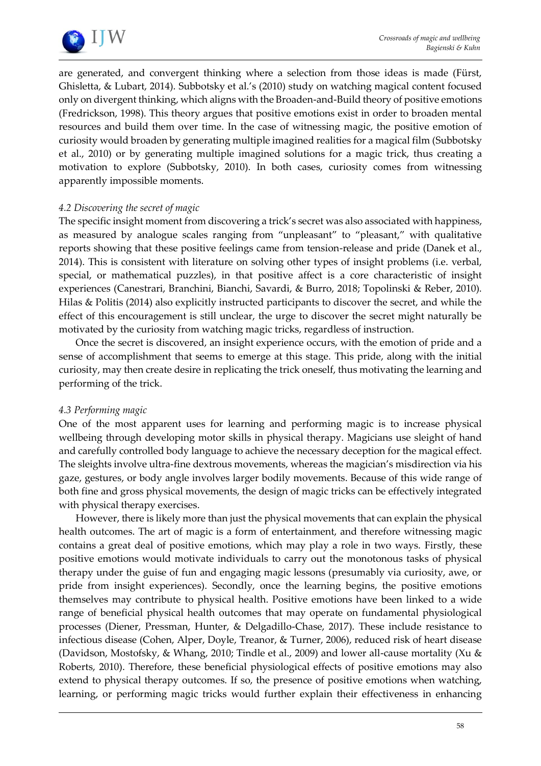

are generated, and convergent thinking where a selection from those ideas is made (Fürst, Ghisletta, & Lubart, 2014). Subbotsky et al.'s (2010) study on watching magical content focused only on divergent thinking, which aligns with the Broaden-and-Build theory of positive emotions (Fredrickson, 1998). This theory argues that positive emotions exist in order to broaden mental resources and build them over time. In the case of witnessing magic, the positive emotion of curiosity would broaden by generating multiple imagined realities for a magical film (Subbotsky et al., 2010) or by generating multiple imagined solutions for a magic trick, thus creating a motivation to explore (Subbotsky, 2010). In both cases, curiosity comes from witnessing apparently impossible moments.

## *4.2 Discovering the secret of magic*

The specific insight moment from discovering a trick's secret was also associated with happiness, as measured by analogue scales ranging from "unpleasant" to "pleasant," with qualitative reports showing that these positive feelings came from tension-release and pride (Danek et al., 2014). This is consistent with literature on solving other types of insight problems (i.e. verbal, special, or mathematical puzzles), in that positive affect is a core characteristic of insight experiences (Canestrari, Branchini, Bianchi, Savardi, & Burro, 2018; Topolinski & Reber, 2010). Hilas & Politis (2014) also explicitly instructed participants to discover the secret, and while the effect of this encouragement is still unclear, the urge to discover the secret might naturally be motivated by the curiosity from watching magic tricks, regardless of instruction.

Once the secret is discovered, an insight experience occurs, with the emotion of pride and a sense of accomplishment that seems to emerge at this stage. This pride, along with the initial curiosity, may then create desire in replicating the trick oneself, thus motivating the learning and performing of the trick.

#### *4.3 Performing magic*

One of the most apparent uses for learning and performing magic is to increase physical wellbeing through developing motor skills in physical therapy. Magicians use sleight of hand and carefully controlled body language to achieve the necessary deception for the magical effect. The sleights involve ultra-fine dextrous movements, whereas the magician's misdirection via his gaze, gestures, or body angle involves larger bodily movements. Because of this wide range of both fine and gross physical movements, the design of magic tricks can be effectively integrated with physical therapy exercises.

However, there is likely more than just the physical movements that can explain the physical health outcomes. The art of magic is a form of entertainment, and therefore witnessing magic contains a great deal of positive emotions, which may play a role in two ways. Firstly, these positive emotions would motivate individuals to carry out the monotonous tasks of physical therapy under the guise of fun and engaging magic lessons (presumably via curiosity, awe, or pride from insight experiences). Secondly, once the learning begins, the positive emotions themselves may contribute to physical health. Positive emotions have been linked to a wide range of beneficial physical health outcomes that may operate on fundamental physiological processes (Diener, Pressman, Hunter, & Delgadillo-Chase, 2017). These include resistance to infectious disease (Cohen, Alper, Doyle, Treanor, & Turner, 2006), reduced risk of heart disease (Davidson, Mostofsky, & Whang, 2010; Tindle et al., 2009) and lower all-cause mortality (Xu & Roberts, 2010). Therefore, these beneficial physiological effects of positive emotions may also extend to physical therapy outcomes. If so, the presence of positive emotions when watching, learning, or performing magic tricks would further explain their effectiveness in enhancing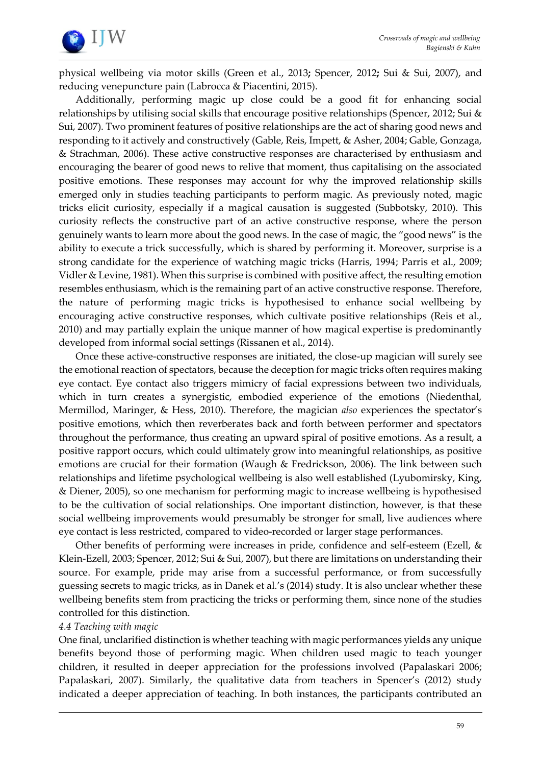

physical wellbeing via motor skills (Green et al., 2013**;** Spencer, 2012**;** Sui & Sui, 2007), and reducing venepuncture pain (Labrocca & Piacentini, 2015).

Additionally, performing magic up close could be a good fit for enhancing social relationships by utilising social skills that encourage positive relationships (Spencer, 2012; Sui & Sui, 2007). Two prominent features of positive relationships are the act of sharing good news and responding to it actively and constructively (Gable, Reis, Impett, & Asher, 2004; Gable, Gonzaga, & Strachman, 2006). These active constructive responses are characterised by enthusiasm and encouraging the bearer of good news to relive that moment, thus capitalising on the associated positive emotions. These responses may account for why the improved relationship skills emerged only in studies teaching participants to perform magic. As previously noted, magic tricks elicit curiosity, especially if a magical causation is suggested (Subbotsky, 2010). This curiosity reflects the constructive part of an active constructive response, where the person genuinely wants to learn more about the good news. In the case of magic, the "good news" is the ability to execute a trick successfully, which is shared by performing it. Moreover, surprise is a strong candidate for the experience of watching magic tricks (Harris, 1994; Parris et al., 2009; Vidler & Levine, 1981). When this surprise is combined with positive affect, the resulting emotion resembles enthusiasm, which is the remaining part of an active constructive response. Therefore, the nature of performing magic tricks is hypothesised to enhance social wellbeing by encouraging active constructive responses, which cultivate positive relationships (Reis et al., 2010) and may partially explain the unique manner of how magical expertise is predominantly developed from informal social settings (Rissanen et al., 2014).

Once these active-constructive responses are initiated, the close-up magician will surely see the emotional reaction of spectators, because the deception for magic tricks often requires making eye contact. Eye contact also triggers mimicry of facial expressions between two individuals, which in turn creates a synergistic, embodied experience of the emotions (Niedenthal, Mermillod, Maringer, & Hess, 2010). Therefore, the magician *also* experiences the spectator's positive emotions, which then reverberates back and forth between performer and spectators throughout the performance, thus creating an upward spiral of positive emotions. As a result, a positive rapport occurs, which could ultimately grow into meaningful relationships, as positive emotions are crucial for their formation (Waugh & Fredrickson, 2006). The link between such relationships and lifetime psychological wellbeing is also well established (Lyubomirsky, King, & Diener, 2005), so one mechanism for performing magic to increase wellbeing is hypothesised to be the cultivation of social relationships. One important distinction, however, is that these social wellbeing improvements would presumably be stronger for small, live audiences where eye contact is less restricted, compared to video-recorded or larger stage performances.

Other benefits of performing were increases in pride, confidence and self-esteem (Ezell, & Klein-Ezell, 2003; Spencer, 2012; Sui & Sui, 2007), but there are limitations on understanding their source. For example, pride may arise from a successful performance, or from successfully guessing secrets to magic tricks, as in Danek et al.'s (2014) study. It is also unclear whether these wellbeing benefits stem from practicing the tricks or performing them, since none of the studies controlled for this distinction.

#### *4.4 Teaching with magic*

One final, unclarified distinction is whether teaching with magic performances yields any unique benefits beyond those of performing magic. When children used magic to teach younger children, it resulted in deeper appreciation for the professions involved (Papalaskari 2006; Papalaskari, 2007). Similarly, the qualitative data from teachers in Spencer's (2012) study indicated a deeper appreciation of teaching. In both instances, the participants contributed an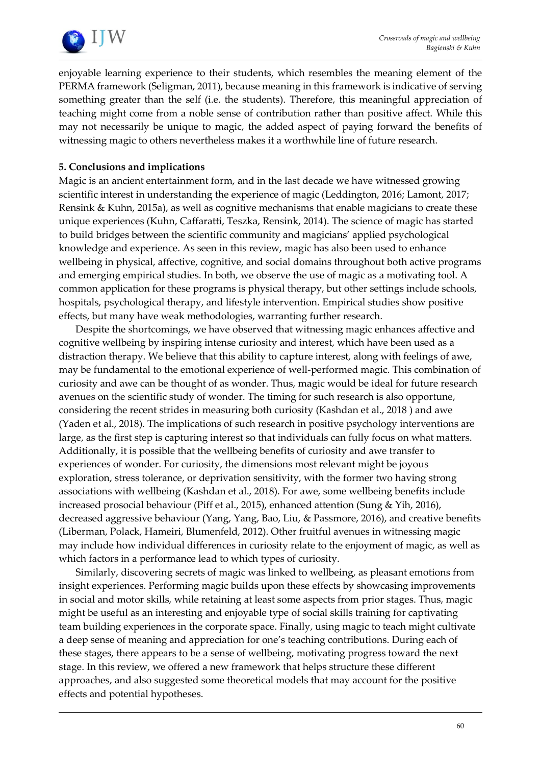

enjoyable learning experience to their students, which resembles the meaning element of the PERMA framework (Seligman, 2011), because meaning in this framework is indicative of serving something greater than the self (i.e. the students). Therefore, this meaningful appreciation of teaching might come from a noble sense of contribution rather than positive affect. While this may not necessarily be unique to magic, the added aspect of paying forward the benefits of witnessing magic to others nevertheless makes it a worthwhile line of future research.

## **5. Conclusions and implications**

Magic is an ancient entertainment form, and in the last decade we have witnessed growing scientific interest in understanding the experience of magic (Leddington, 2016; Lamont, 2017; Rensink & Kuhn, 2015a), as well as cognitive mechanisms that enable magicians to create these unique experiences (Kuhn, Caffaratti, Teszka, Rensink, 2014). The science of magic has started to build bridges between the scientific community and magicians' applied psychological knowledge and experience. As seen in this review, magic has also been used to enhance wellbeing in physical, affective, cognitive, and social domains throughout both active programs and emerging empirical studies. In both, we observe the use of magic as a motivating tool. A common application for these programs is physical therapy, but other settings include schools, hospitals, psychological therapy, and lifestyle intervention. Empirical studies show positive effects, but many have weak methodologies, warranting further research.

Despite the shortcomings, we have observed that witnessing magic enhances affective and cognitive wellbeing by inspiring intense curiosity and interest, which have been used as a distraction therapy. We believe that this ability to capture interest, along with feelings of awe, may be fundamental to the emotional experience of well-performed magic. This combination of curiosity and awe can be thought of as wonder. Thus, magic would be ideal for future research avenues on the scientific study of wonder. The timing for such research is also opportune, considering the recent strides in measuring both curiosity (Kashdan et al., 2018 ) and awe (Yaden et al., 2018). The implications of such research in positive psychology interventions are large, as the first step is capturing interest so that individuals can fully focus on what matters. Additionally, it is possible that the wellbeing benefits of curiosity and awe transfer to experiences of wonder. For curiosity, the dimensions most relevant might be joyous exploration, stress tolerance, or deprivation sensitivity, with the former two having strong associations with wellbeing (Kashdan et al., 2018). For awe, some wellbeing benefits include increased prosocial behaviour (Piff et al., 2015), enhanced attention (Sung & Yih, 2016), decreased aggressive behaviour (Yang, Yang, Bao, Liu, & Passmore, 2016), and creative benefits (Liberman, Polack, Hameiri, Blumenfeld, 2012). Other fruitful avenues in witnessing magic may include how individual differences in curiosity relate to the enjoyment of magic, as well as which factors in a performance lead to which types of curiosity.

Similarly, discovering secrets of magic was linked to wellbeing, as pleasant emotions from insight experiences. Performing magic builds upon these effects by showcasing improvements in social and motor skills, while retaining at least some aspects from prior stages. Thus, magic might be useful as an interesting and enjoyable type of social skills training for captivating team building experiences in the corporate space. Finally, using magic to teach might cultivate a deep sense of meaning and appreciation for one's teaching contributions. During each of these stages, there appears to be a sense of wellbeing, motivating progress toward the next stage. In this review, we offered a new framework that helps structure these different approaches, and also suggested some theoretical models that may account for the positive effects and potential hypotheses.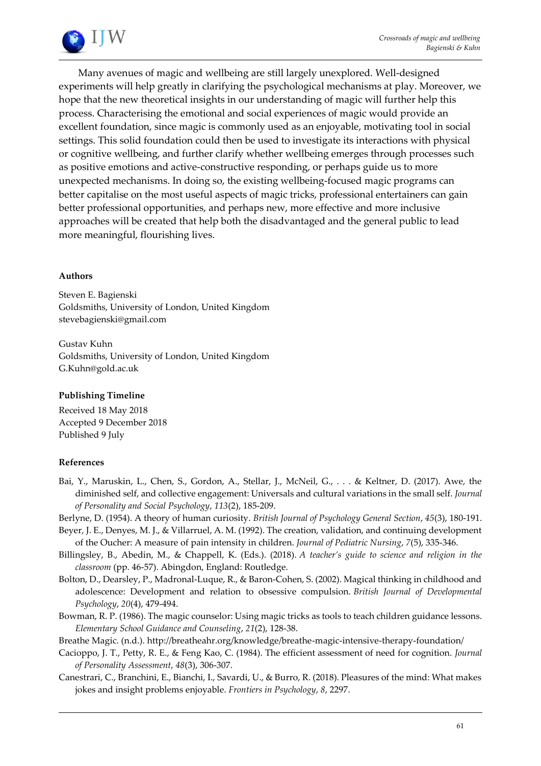

Many avenues of magic and wellbeing are still largely unexplored. Well-designed experiments will help greatly in clarifying the psychological mechanisms at play. Moreover, we hope that the new theoretical insights in our understanding of magic will further help this process. Characterising the emotional and social experiences of magic would provide an excellent foundation, since magic is commonly used as an enjoyable, motivating tool in social settings. This solid foundation could then be used to investigate its interactions with physical or cognitive wellbeing, and further clarify whether wellbeing emerges through processes such as positive emotions and active-constructive responding, or perhaps guide us to more unexpected mechanisms. In doing so, the existing wellbeing-focused magic programs can better capitalise on the most useful aspects of magic tricks, professional entertainers can gain better professional opportunities, and perhaps new, more effective and more inclusive approaches will be created that help both the disadvantaged and the general public to lead more meaningful, flourishing lives.

#### **Authors**

Steven E. Bagienski Goldsmiths, University of London, United Kingdom stevebagienski@gmail.com

Gustav Kuhn Goldsmiths, University of London, United Kingdom G.Kuhn@gold.ac.uk

#### **Publishing Timeline**

Received 18 May 2018 Accepted 9 December 2018 Published 9 July

#### **References**

- Bai, Y., Maruskin, L., Chen, S., Gordon, A., Stellar, J., McNeil, G., . . . & Keltner, D. (2017). Awe, the diminished self, and collective engagement: Universals and cultural variations in the small self. *Journal of Personality and Social Psychology*, *113*(2), 185-209.
- Berlyne, D. (1954). A theory of human curiosity. *British Journal of Psychology General Section*, *45*(3), 180-191.
- Beyer, J. E., Denyes, M. J., & Villarruel, A. M. (1992). The creation, validation, and continuing development of the Oucher: A measure of pain intensity in children. *Journal of Pediatric Nursing*, *7*(5), 335-346.
- Billingsley, B., Abedin, M., & Chappell, K. (Eds.). (2018). *A teacher's guide to science and religion in the classroom* (pp. 46-57). Abingdon, England: Routledge.
- Bolton, D., Dearsley, P., Madronal‐Luque, R., & Baron‐Cohen, S. (2002). Magical thinking in childhood and adolescence: Development and relation to obsessive compulsion. *British Journal of Developmental Psychology*, *20*(4), 479-494.
- Bowman, R. P. (1986). The magic counselor: Using magic tricks as tools to teach children guidance lessons. *Elementary School Guidance and Counseling*, *21*(2), 128-38.
- Breathe Magic. (n.d.). http://breatheahr.org/knowledge/breathe-magic-intensive-therapy-foundation/
- Cacioppo, J. T., Petty, R. E., & Feng Kao, C. (1984). The efficient assessment of need for cognition. *Journal of Personality Assessment*, *48*(3), 306-307.
- Canestrari, C., Branchini, E., Bianchi, I., Savardi, U., & Burro, R. (2018). Pleasures of the mind: What makes jokes and insight problems enjoyable. *Frontiers in Psychology*, *8*, 2297.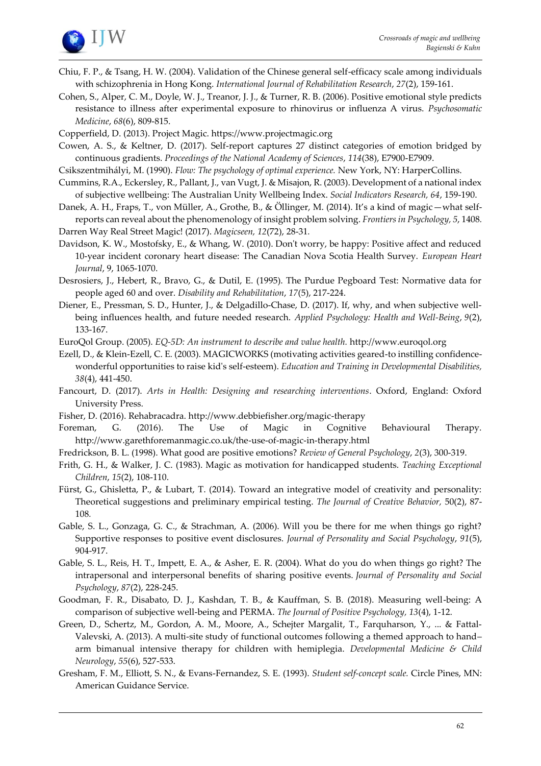

- Chiu, F. P., & Tsang, H. W. (2004). Validation of the Chinese general self-efficacy scale among individuals with schizophrenia in Hong Kong. *International Journal of Rehabilitation Research*, *27*(2), 159-161.
- Cohen, S., Alper, C. M., Doyle, W. J., Treanor, J. J., & Turner, R. B. (2006). Positive emotional style predicts resistance to illness after experimental exposure to rhinovirus or influenza A virus. *Psychosomatic Medicine*, *68*(6), 809-815.
- Copperfield, D. (2013). Project Magic. https://www.projectmagic.org
- Cowen, A. S., & Keltner, D. (2017). Self-report captures 27 distinct categories of emotion bridged by continuous gradients. *Proceedings of the National Academy of Sciences*, *114*(38), E7900-E7909.
- Csikszentmihályi, M. (1990). *Flow: The psychology of optimal experience.* New York, NY: HarperCollins.
- Cummins, R.A., Eckersley, R., Pallant, J., van Vugt, J. & Misajon, R. (2003). Development of a national index of subjective wellbeing: The Australian Unity Wellbeing Index. *Social Indicators Research, 64*, 159-190.
- Danek, A. H., Fraps, T., von Müller, A., Grothe, B., & Öllinger, M. (2014). It's a kind of magic—what selfreports can reveal about the phenomenology of insight problem solving. *Frontiers in Psychology, 5*, 1408*.* Darren Way Real Street Magic! (2017). *Magicseen, 12*(72), 28-31*.*
- Davidson, K. W., Mostofsky, E., & Whang, W. (2010). Don't worry, be happy: Positive affect and reduced 10-year incident coronary heart disease: The Canadian Nova Scotia Health Survey. *European Heart Journal*, 9, 1065-1070.
- Desrosiers, J., Hebert, R., Bravo, G., & Dutil, E. (1995). The Purdue Pegboard Test: Normative data for people aged 60 and over. *Disability and Rehabilitation*, *17*(5), 217-224.
- Diener, E., Pressman, S. D., Hunter, J., & Delgadillo-Chase, D. (2017). If, why, and when subjective wellbeing influences health, and future needed research. *Applied Psychology: Health and Well‐Being*, *9*(2), 133-167.

EuroQol Group. (2005). *EQ-5D: An instrument to describe and value health.* http://www.euroqol.org

Ezell, D., & Klein-Ezell, C. E. (2003). MAGICWORKS (motivating activities geared-to instilling confidencewonderful opportunities to raise kid's self-esteem). *Education and Training in Developmental Disabilities, 38*(4), 441-450.

- Fancourt, D. (2017). *Arts in Health: Designing and researching interventions*. Oxford, England: Oxford University Press.
- Fisher, D. (2016). Rehabracadra. http://www.debbiefisher.org/magic-therapy
- Foreman, G. (2016). The Use of Magic in Cognitive Behavioural Therapy. http://www.garethforemanmagic.co.uk/the-use-of-magic-in-therapy.html
- Fredrickson, B. L. (1998). What good are positive emotions? *Review of General Psychology*, *2*(3), 300-319.
- Frith, G. H., & Walker, J. C. (1983). Magic as motivation for handicapped students. *Teaching Exceptional Children*, *15*(2), 108-110.
- Fürst, G., Ghisletta, P., & Lubart, T. (2014). Toward an integrative model of creativity and personality: Theoretical suggestions and preliminary empirical testing. *The Journal of Creative Behavior,* 50(2), 87- 108*.*
- Gable, S. L., Gonzaga, G. C., & Strachman, A. (2006). Will you be there for me when things go right? Supportive responses to positive event disclosures. *Journal of Personality and Social Psychology*, *91*(5), 904-917.
- Gable, S. L., Reis, H. T., Impett, E. A., & Asher, E. R. (2004). What do you do when things go right? The intrapersonal and interpersonal benefits of sharing positive events. *Journal of Personality and Social Psychology*, *87*(2), 228-245.
- Goodman, F. R., Disabato, D. J., Kashdan, T. B., & Kauffman, S. B. (2018). Measuring well-being: A comparison of subjective well-being and PERMA. *The Journal of Positive Psychology, 13*(4), 1-12.
- Green, D., Schertz, M., Gordon, A. M., Moore, A., Schejter Margalit, T., Farquharson, Y., ... & Fattal‐ Valevski, A. (2013). A multi‐site study of functional outcomes following a themed approach to hand– arm bimanual intensive therapy for children with hemiplegia. *Developmental Medicine & Child Neurology*, *55*(6), 527-533.
- Gresham, F. M., Elliott, S. N., & Evans-Fernandez, S. E. (1993). *Student self-concept scale.* Circle Pines, MN: American Guidance Service.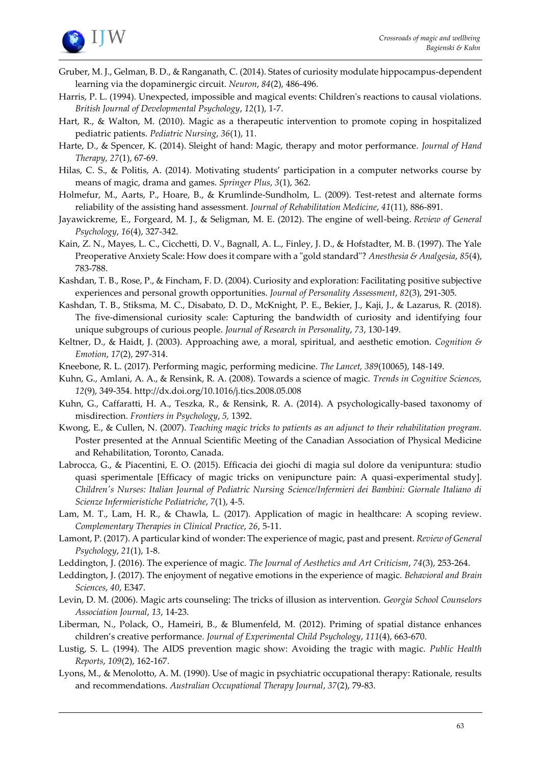

- Gruber, M. J., Gelman, B. D., & Ranganath, C. (2014). States of curiosity modulate hippocampus-dependent learning via the dopaminergic circuit. *Neuron*, *84*(2), 486-496.
- Harris, P. L. (1994). Unexpected, impossible and magical events: Children's reactions to causal violations. *British Journal of Developmental Psychology*, *12*(1), 1-7.
- Hart, R., & Walton, M. (2010). Magic as a therapeutic intervention to promote coping in hospitalized pediatric patients. *Pediatric Nursing*, *36*(1), 11.
- Harte, D., & Spencer, K. (2014). Sleight of hand: Magic, therapy and motor performance. *Journal of Hand Therapy, 27*(1), 67-69.
- Hilas, C. S., & Politis, A. (2014). Motivating students' participation in a computer networks course by means of magic, drama and games. *Springer Plus*, *3*(1), 362.
- Holmefur, M., Aarts, P., Hoare, B., & Krumlinde-Sundholm, L. (2009). Test-retest and alternate forms reliability of the assisting hand assessment. *Journal of Rehabilitation Medicine*, *41*(11), 886-891.
- Jayawickreme, E., Forgeard, M. J., & Seligman, M. E. (2012). The engine of well-being. *Review of General Psychology*, *16*(4), 327-342.
- Kain, Z. N., Mayes, L. C., Cicchetti, D. V., Bagnall, A. L., Finley, J. D., & Hofstadter, M. B. (1997). The Yale Preoperative Anxiety Scale: How does it compare with a "gold standard"? *Anesthesia & Analgesia*, *85*(4), 783-788.
- Kashdan, T. B., Rose, P., & Fincham, F. D. (2004). Curiosity and exploration: Facilitating positive subjective experiences and personal growth opportunities. *Journal of Personality Assessment*, *82*(3), 291-305.
- Kashdan, T. B., Stiksma, M. C., Disabato, D. D., McKnight, P. E., Bekier, J., Kaji, J., & Lazarus, R. (2018). The five-dimensional curiosity scale: Capturing the bandwidth of curiosity and identifying four unique subgroups of curious people. *Journal of Research in Personality*, *73*, 130-149.
- Keltner, D., & Haidt, J. (2003). Approaching awe, a moral, spiritual, and aesthetic emotion. *Cognition & Emotion*, *17*(2), 297-314.
- Kneebone, R. L. (2017). Performing magic, performing medicine. *The Lancet, 389*(10065), 148-149.
- Kuhn, G., Amlani, A. A., & Rensink, R. A. (2008). Towards a science of magic. *Trends in Cognitive Sciences, 12*(9), 349-354. http://dx.doi.org/10.1016/j.tics.2008.05.008
- Kuhn, G., Caffaratti, H. A., Teszka, R., & Rensink, R. A. (2014). A psychologically-based taxonomy of misdirection. *Frontiers in Psychology*, *5,* 1392.
- Kwong, E., & Cullen, N. (2007). *Teaching magic tricks to patients as an adjunct to their rehabilitation program.* Poster presented at the Annual Scientific Meeting of the Canadian Association of Physical Medicine and Rehabilitation, Toronto, Canada.
- Labrocca, G., & Piacentini, E. O. (2015). Efficacia dei giochi di magia sul dolore da venipuntura: studio quasi sperimentale [Efficacy of magic tricks on venipuncture pain: A quasi-experimental study]. *Children's Nurses: Italian Journal of Pediatric Nursing Science/Infermieri dei Bambini: Giornale Italiano di Scienze Infermieristiche Pediatriche*, *7*(1), 4-5.
- Lam, M. T., Lam, H. R., & Chawla, L. (2017). Application of magic in healthcare: A scoping review. *Complementary Therapies in Clinical Practice*, *26*, 5-11.
- Lamont, P. (2017). A particular kind of wonder: The experience of magic, past and present. *Review of General Psychology*, *21*(1), 1-8.
- Leddington, J. (2016). The experience of magic. *The Journal of Aesthetics and Art Criticism*, *74*(3), 253-264.
- Leddington, J. (2017). The enjoyment of negative emotions in the experience of magic. *Behavioral and Brain Sciences*, *40*, E347.
- Levin, D. M. (2006). Magic arts counseling: The tricks of illusion as intervention. *Georgia School Counselors Association Journal*, *13*, 14-23.
- Liberman, N., Polack, O., Hameiri, B., & Blumenfeld, M. (2012). Priming of spatial distance enhances children's creative performance. *Journal of Experimental Child Psychology*, *111*(4), 663-670.
- Lustig, S. L. (1994). The AIDS prevention magic show: Avoiding the tragic with magic. *Public Health Reports*, *109*(2), 162-167.
- Lyons, M., & Menolotto, A. M. (1990). Use of magic in psychiatric occupational therapy: Rationale, results and recommendations. *Australian Occupational Therapy Journal*, *37*(2), 79-83.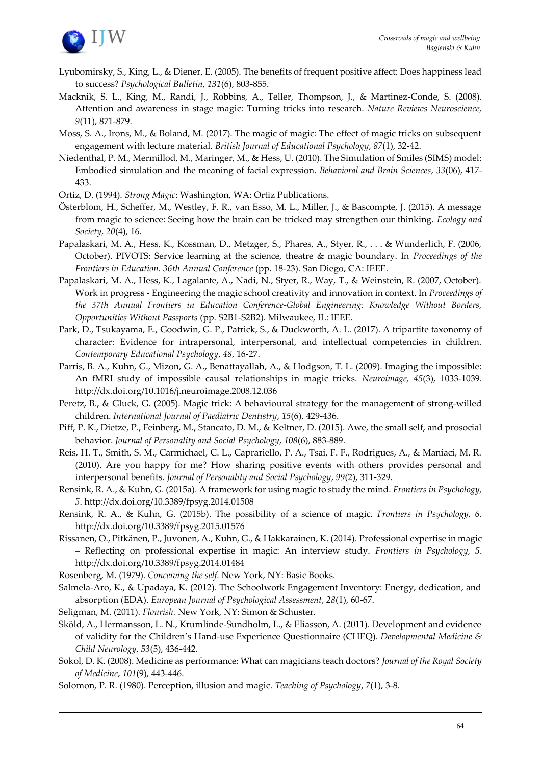

- Lyubomirsky, S., King, L., & Diener, E. (2005). The benefits of frequent positive affect: Does happiness lead to success? *Psychological Bulletin*, *131*(6), 803-855.
- Macknik, S. L., King, M., Randi, J., Robbins, A., Teller, Thompson, J., & Martinez-Conde, S. (2008). Attention and awareness in stage magic: Turning tricks into research. *Nature Reviews Neuroscience, 9*(11), 871-879.
- Moss, S. A., Irons, M., & Boland, M. (2017). The magic of magic: The effect of magic tricks on subsequent engagement with lecture material. *British Journal of Educational Psychology*, *87*(1), 32-42.
- Niedenthal, P. M., Mermillod, M., Maringer, M., & Hess, U. (2010). The Simulation of Smiles (SIMS) model: Embodied simulation and the meaning of facial expression. *Behavioral and Brain Sciences*, *33*(06), 417- 433.
- Ortiz, D. (1994). *Strong Magic*: Washington, WA: Ortiz Publications.
- Österblom, H., Scheffer, M., Westley, F. R., van Esso, M. L., Miller, J., & Bascompte, J. (2015). A message from magic to science: Seeing how the brain can be tricked may strengthen our thinking. *Ecology and Society, 20*(4), 16.
- Papalaskari, M. A., Hess, K., Kossman, D., Metzger, S., Phares, A., Styer, R., . . . & Wunderlich, F. (2006, October). PIVOTS: Service learning at the science, theatre & magic boundary. In *Proceedings of the Frontiers in Education. 36th Annual Conference* (pp. 18-23). San Diego, CA: IEEE.
- Papalaskari, M. A., Hess, K., Lagalante, A., Nadi, N., Styer, R., Way, T., & Weinstein, R. (2007, October). Work in progress - Engineering the magic school creativity and innovation in context. In *Proceedings of the 37th Annual Frontiers in Education Conference-Global Engineering: Knowledge Without Borders, Opportunities Without Passports* (pp. S2B1-S2B2). Milwaukee, IL: IEEE.
- Park, D., Tsukayama, E., Goodwin, G. P., Patrick, S., & Duckworth, A. L. (2017). A tripartite taxonomy of character: Evidence for intrapersonal, interpersonal, and intellectual competencies in children. *Contemporary Educational Psychology*, *48*, 16-27.
- Parris, B. A., Kuhn, G., Mizon, G. A., Benattayallah, A., & Hodgson, T. L. (2009). Imaging the impossible: An fMRI study of impossible causal relationships in magic tricks. *Neuroimage, 45*(3), 1033-1039. http://dx.doi.org/10.1016/j.neuroimage.2008.12.036
- Peretz, B., & Gluck, G. (2005). Magic trick: A behavioural strategy for the management of strong‐willed children. *International Journal of Paediatric Dentistry*, *15*(6), 429-436.
- Piff, P. K., Dietze, P., Feinberg, M., Stancato, D. M., & Keltner, D. (2015). Awe, the small self, and prosocial behavior. *Journal of Personality and Social Psychology*, *108*(6), 883-889.
- Reis, H. T., Smith, S. M., Carmichael, C. L., Caprariello, P. A., Tsai, F. F., Rodrigues, A., & Maniaci, M. R. (2010). Are you happy for me? How sharing positive events with others provides personal and interpersonal benefits. *Journal of Personality and Social Psychology*, *99*(2), 311-329.
- Rensink, R. A., & Kuhn, G. (2015a). A framework for using magic to study the mind. *Frontiers in Psychology, 5*. http://dx.doi.org/10.3389/fpsyg.2014.01508
- Rensink, R. A., & Kuhn, G. (2015b). The possibility of a science of magic. *Frontiers in Psychology, 6*. http://dx.doi.org/10.3389/fpsyg.2015.01576
- Rissanen, O., Pitkänen, P., Juvonen, A., Kuhn, G., & Hakkarainen, K. (2014). Professional expertise in magic – Reflecting on professional expertise in magic: An interview study. *Frontiers in Psychology, 5*. http://dx.doi.org/10.3389/fpsyg.2014.01484
- Rosenberg, M. (1979). *Conceiving the self.* New York, NY: Basic Books.
- Salmela-Aro, K., & Upadaya, K. (2012). The Schoolwork Engagement Inventory: Energy, dedication, and absorption (EDA). *European Journal of Psychological Assessment*, *28*(1), 60-67.
- Seligman, M. (2011). *Flourish.* New York, NY: Simon & Schuster.
- Sköld, A., Hermansson, L. N., Krumlinde‐Sundholm, L., & Eliasson, A. (2011). Development and evidence of validity for the Children's Hand‐use Experience Questionnaire (CHEQ). *Developmental Medicine & Child Neurology*, *53*(5), 436-442.
- Sokol, D. K. (2008). Medicine as performance: What can magicians teach doctors? *Journal of the Royal Society of Medicine*, *101*(9), 443-446.
- Solomon, P. R. (1980). Perception, illusion and magic. *Teaching of Psychology*, *7*(1), 3-8.